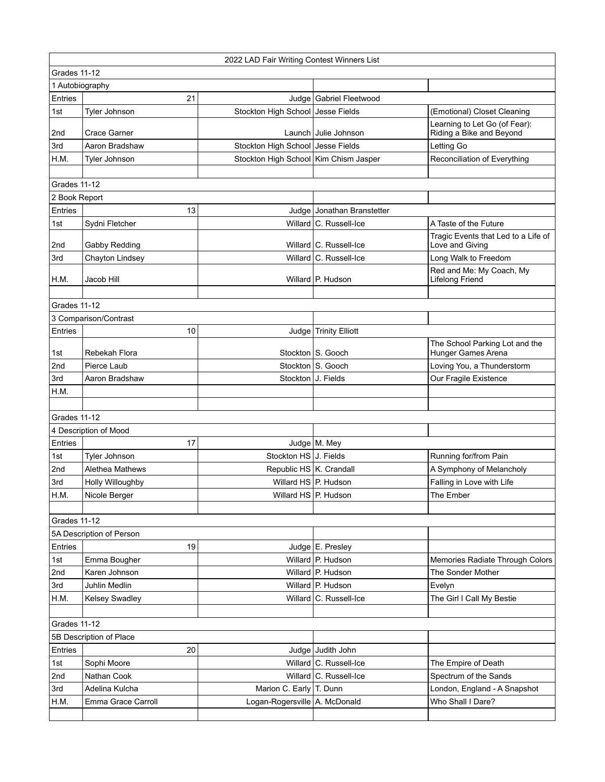| Grades 11-12<br>1 Autobiography<br>Entries<br>21<br>Judge   Gabriel Fleetwood<br>Stockton High School Jesse Fields<br>Tyler Johnson<br>(Emotional) Closet Cleaning<br>1st<br>Learning to Let Go (of Fear):<br>Riding a Bike and Beyond<br>2nd<br><b>Crace Garner</b><br>Launch Julie Johnson<br>Stockton High School Jesse Fields<br>Aaron Bradshaw<br>Letting Go<br>3rd<br>Stockton High School Kim Chism Jasper<br>H.M.<br>Reconciliation of Everything<br>Tyler Johnson<br>Grades 11-12<br>2 Book Report<br>Entries<br>13<br>Judge Jonathan Branstetter<br>Willard C. Russell-Ice<br>Sydni Fletcher<br>1st<br>A Taste of the Future<br>Tragic Events that Led to a Life of<br>2nd<br>Willard   C. Russell-Ice<br>Love and Giving<br>Gabby Redding<br>3rd<br>Willard C. Russell-Ice<br>Long Walk to Freedom<br>Chayton Lindsey<br>Red and Me: My Coach, My<br>Willard P. Hudson<br>Lifelong Friend<br>H.M.<br>Jacob Hill<br>Grades 11-12<br>3 Comparison/Contrast<br>Entries<br>10<br>Judge   Trinity Elliott<br>The School Parking Lot and the<br>Stockton S. Gooch<br>Hunger Games Arena<br>Rebekah Flora<br>1st<br>Stockton S. Gooch<br>Pierce Laub<br>Loving You, a Thunderstorm<br>2nd<br>Stockton J. Fields<br>Our Fragile Existence<br>3rd<br>Aaron Bradshaw<br>H.M.<br>Grades 11-12<br>4 Description of Mood<br>17<br>Judge M. Mey<br>Entries<br>Stockton HS J. Fields<br>Running for/from Pain<br>1st<br>Tyler Johnson<br>Republic HS K. Crandall<br>A Symphony of Melancholy<br>2nd<br>Alethea Mathews<br>Willard HS P. Hudson<br>Falling in Love with Life<br>3rd<br><b>Holly Willoughby</b><br>Willard HS P. Hudson<br>H.M.<br>Nicole Berger<br>The Ember<br>Grades 11-12<br>5A Description of Person<br>19<br>Judge E. Presley<br>Entries<br>Emma Bougher<br>Willard   P. Hudson<br>1st<br>Memories Radiate Through Colors<br>Willard P. Hudson<br>Karen Johnson<br>The Sonder Mother<br>2nd<br>Willard P. Hudson<br>3rd<br><b>Juhlin Medlin</b><br>Evelyn<br>H.M.<br>Willard C. Russell-Ice<br>The Girl I Call My Bestie<br><b>Kelsey Swadley</b><br>Grades 11-12<br>5B Description of Place<br>Entries<br>20<br>Judge Judith John<br>Willard C. Russell-Ice<br>1st<br>Sophi Moore<br>The Empire of Death<br>Willard C. Russell-Ice<br>2nd<br>Nathan Cook<br>Spectrum of the Sands |  | 2022 LAD Fair Writing Contest Winners List |  |  |                              |  |  |
|----------------------------------------------------------------------------------------------------------------------------------------------------------------------------------------------------------------------------------------------------------------------------------------------------------------------------------------------------------------------------------------------------------------------------------------------------------------------------------------------------------------------------------------------------------------------------------------------------------------------------------------------------------------------------------------------------------------------------------------------------------------------------------------------------------------------------------------------------------------------------------------------------------------------------------------------------------------------------------------------------------------------------------------------------------------------------------------------------------------------------------------------------------------------------------------------------------------------------------------------------------------------------------------------------------------------------------------------------------------------------------------------------------------------------------------------------------------------------------------------------------------------------------------------------------------------------------------------------------------------------------------------------------------------------------------------------------------------------------------------------------------------------------------------------------------------------------------------------------------------------------------------------------------------------------------------------------------------------------------------------------------------------------------------------------------------------------------------------------------------------------------------------------------------------------------------------------------------------------------------------------------------------------------------------|--|--------------------------------------------|--|--|------------------------------|--|--|
|                                                                                                                                                                                                                                                                                                                                                                                                                                                                                                                                                                                                                                                                                                                                                                                                                                                                                                                                                                                                                                                                                                                                                                                                                                                                                                                                                                                                                                                                                                                                                                                                                                                                                                                                                                                                                                                                                                                                                                                                                                                                                                                                                                                                                                                                                                    |  |                                            |  |  |                              |  |  |
|                                                                                                                                                                                                                                                                                                                                                                                                                                                                                                                                                                                                                                                                                                                                                                                                                                                                                                                                                                                                                                                                                                                                                                                                                                                                                                                                                                                                                                                                                                                                                                                                                                                                                                                                                                                                                                                                                                                                                                                                                                                                                                                                                                                                                                                                                                    |  |                                            |  |  |                              |  |  |
|                                                                                                                                                                                                                                                                                                                                                                                                                                                                                                                                                                                                                                                                                                                                                                                                                                                                                                                                                                                                                                                                                                                                                                                                                                                                                                                                                                                                                                                                                                                                                                                                                                                                                                                                                                                                                                                                                                                                                                                                                                                                                                                                                                                                                                                                                                    |  |                                            |  |  |                              |  |  |
|                                                                                                                                                                                                                                                                                                                                                                                                                                                                                                                                                                                                                                                                                                                                                                                                                                                                                                                                                                                                                                                                                                                                                                                                                                                                                                                                                                                                                                                                                                                                                                                                                                                                                                                                                                                                                                                                                                                                                                                                                                                                                                                                                                                                                                                                                                    |  |                                            |  |  |                              |  |  |
|                                                                                                                                                                                                                                                                                                                                                                                                                                                                                                                                                                                                                                                                                                                                                                                                                                                                                                                                                                                                                                                                                                                                                                                                                                                                                                                                                                                                                                                                                                                                                                                                                                                                                                                                                                                                                                                                                                                                                                                                                                                                                                                                                                                                                                                                                                    |  |                                            |  |  |                              |  |  |
|                                                                                                                                                                                                                                                                                                                                                                                                                                                                                                                                                                                                                                                                                                                                                                                                                                                                                                                                                                                                                                                                                                                                                                                                                                                                                                                                                                                                                                                                                                                                                                                                                                                                                                                                                                                                                                                                                                                                                                                                                                                                                                                                                                                                                                                                                                    |  |                                            |  |  |                              |  |  |
|                                                                                                                                                                                                                                                                                                                                                                                                                                                                                                                                                                                                                                                                                                                                                                                                                                                                                                                                                                                                                                                                                                                                                                                                                                                                                                                                                                                                                                                                                                                                                                                                                                                                                                                                                                                                                                                                                                                                                                                                                                                                                                                                                                                                                                                                                                    |  |                                            |  |  |                              |  |  |
|                                                                                                                                                                                                                                                                                                                                                                                                                                                                                                                                                                                                                                                                                                                                                                                                                                                                                                                                                                                                                                                                                                                                                                                                                                                                                                                                                                                                                                                                                                                                                                                                                                                                                                                                                                                                                                                                                                                                                                                                                                                                                                                                                                                                                                                                                                    |  |                                            |  |  |                              |  |  |
|                                                                                                                                                                                                                                                                                                                                                                                                                                                                                                                                                                                                                                                                                                                                                                                                                                                                                                                                                                                                                                                                                                                                                                                                                                                                                                                                                                                                                                                                                                                                                                                                                                                                                                                                                                                                                                                                                                                                                                                                                                                                                                                                                                                                                                                                                                    |  |                                            |  |  |                              |  |  |
|                                                                                                                                                                                                                                                                                                                                                                                                                                                                                                                                                                                                                                                                                                                                                                                                                                                                                                                                                                                                                                                                                                                                                                                                                                                                                                                                                                                                                                                                                                                                                                                                                                                                                                                                                                                                                                                                                                                                                                                                                                                                                                                                                                                                                                                                                                    |  |                                            |  |  |                              |  |  |
|                                                                                                                                                                                                                                                                                                                                                                                                                                                                                                                                                                                                                                                                                                                                                                                                                                                                                                                                                                                                                                                                                                                                                                                                                                                                                                                                                                                                                                                                                                                                                                                                                                                                                                                                                                                                                                                                                                                                                                                                                                                                                                                                                                                                                                                                                                    |  |                                            |  |  |                              |  |  |
|                                                                                                                                                                                                                                                                                                                                                                                                                                                                                                                                                                                                                                                                                                                                                                                                                                                                                                                                                                                                                                                                                                                                                                                                                                                                                                                                                                                                                                                                                                                                                                                                                                                                                                                                                                                                                                                                                                                                                                                                                                                                                                                                                                                                                                                                                                    |  |                                            |  |  |                              |  |  |
|                                                                                                                                                                                                                                                                                                                                                                                                                                                                                                                                                                                                                                                                                                                                                                                                                                                                                                                                                                                                                                                                                                                                                                                                                                                                                                                                                                                                                                                                                                                                                                                                                                                                                                                                                                                                                                                                                                                                                                                                                                                                                                                                                                                                                                                                                                    |  |                                            |  |  |                              |  |  |
|                                                                                                                                                                                                                                                                                                                                                                                                                                                                                                                                                                                                                                                                                                                                                                                                                                                                                                                                                                                                                                                                                                                                                                                                                                                                                                                                                                                                                                                                                                                                                                                                                                                                                                                                                                                                                                                                                                                                                                                                                                                                                                                                                                                                                                                                                                    |  |                                            |  |  |                              |  |  |
|                                                                                                                                                                                                                                                                                                                                                                                                                                                                                                                                                                                                                                                                                                                                                                                                                                                                                                                                                                                                                                                                                                                                                                                                                                                                                                                                                                                                                                                                                                                                                                                                                                                                                                                                                                                                                                                                                                                                                                                                                                                                                                                                                                                                                                                                                                    |  |                                            |  |  |                              |  |  |
|                                                                                                                                                                                                                                                                                                                                                                                                                                                                                                                                                                                                                                                                                                                                                                                                                                                                                                                                                                                                                                                                                                                                                                                                                                                                                                                                                                                                                                                                                                                                                                                                                                                                                                                                                                                                                                                                                                                                                                                                                                                                                                                                                                                                                                                                                                    |  |                                            |  |  |                              |  |  |
|                                                                                                                                                                                                                                                                                                                                                                                                                                                                                                                                                                                                                                                                                                                                                                                                                                                                                                                                                                                                                                                                                                                                                                                                                                                                                                                                                                                                                                                                                                                                                                                                                                                                                                                                                                                                                                                                                                                                                                                                                                                                                                                                                                                                                                                                                                    |  |                                            |  |  |                              |  |  |
|                                                                                                                                                                                                                                                                                                                                                                                                                                                                                                                                                                                                                                                                                                                                                                                                                                                                                                                                                                                                                                                                                                                                                                                                                                                                                                                                                                                                                                                                                                                                                                                                                                                                                                                                                                                                                                                                                                                                                                                                                                                                                                                                                                                                                                                                                                    |  |                                            |  |  |                              |  |  |
|                                                                                                                                                                                                                                                                                                                                                                                                                                                                                                                                                                                                                                                                                                                                                                                                                                                                                                                                                                                                                                                                                                                                                                                                                                                                                                                                                                                                                                                                                                                                                                                                                                                                                                                                                                                                                                                                                                                                                                                                                                                                                                                                                                                                                                                                                                    |  |                                            |  |  |                              |  |  |
|                                                                                                                                                                                                                                                                                                                                                                                                                                                                                                                                                                                                                                                                                                                                                                                                                                                                                                                                                                                                                                                                                                                                                                                                                                                                                                                                                                                                                                                                                                                                                                                                                                                                                                                                                                                                                                                                                                                                                                                                                                                                                                                                                                                                                                                                                                    |  |                                            |  |  |                              |  |  |
|                                                                                                                                                                                                                                                                                                                                                                                                                                                                                                                                                                                                                                                                                                                                                                                                                                                                                                                                                                                                                                                                                                                                                                                                                                                                                                                                                                                                                                                                                                                                                                                                                                                                                                                                                                                                                                                                                                                                                                                                                                                                                                                                                                                                                                                                                                    |  |                                            |  |  |                              |  |  |
|                                                                                                                                                                                                                                                                                                                                                                                                                                                                                                                                                                                                                                                                                                                                                                                                                                                                                                                                                                                                                                                                                                                                                                                                                                                                                                                                                                                                                                                                                                                                                                                                                                                                                                                                                                                                                                                                                                                                                                                                                                                                                                                                                                                                                                                                                                    |  |                                            |  |  |                              |  |  |
|                                                                                                                                                                                                                                                                                                                                                                                                                                                                                                                                                                                                                                                                                                                                                                                                                                                                                                                                                                                                                                                                                                                                                                                                                                                                                                                                                                                                                                                                                                                                                                                                                                                                                                                                                                                                                                                                                                                                                                                                                                                                                                                                                                                                                                                                                                    |  |                                            |  |  |                              |  |  |
|                                                                                                                                                                                                                                                                                                                                                                                                                                                                                                                                                                                                                                                                                                                                                                                                                                                                                                                                                                                                                                                                                                                                                                                                                                                                                                                                                                                                                                                                                                                                                                                                                                                                                                                                                                                                                                                                                                                                                                                                                                                                                                                                                                                                                                                                                                    |  |                                            |  |  |                              |  |  |
|                                                                                                                                                                                                                                                                                                                                                                                                                                                                                                                                                                                                                                                                                                                                                                                                                                                                                                                                                                                                                                                                                                                                                                                                                                                                                                                                                                                                                                                                                                                                                                                                                                                                                                                                                                                                                                                                                                                                                                                                                                                                                                                                                                                                                                                                                                    |  |                                            |  |  |                              |  |  |
|                                                                                                                                                                                                                                                                                                                                                                                                                                                                                                                                                                                                                                                                                                                                                                                                                                                                                                                                                                                                                                                                                                                                                                                                                                                                                                                                                                                                                                                                                                                                                                                                                                                                                                                                                                                                                                                                                                                                                                                                                                                                                                                                                                                                                                                                                                    |  |                                            |  |  |                              |  |  |
|                                                                                                                                                                                                                                                                                                                                                                                                                                                                                                                                                                                                                                                                                                                                                                                                                                                                                                                                                                                                                                                                                                                                                                                                                                                                                                                                                                                                                                                                                                                                                                                                                                                                                                                                                                                                                                                                                                                                                                                                                                                                                                                                                                                                                                                                                                    |  |                                            |  |  |                              |  |  |
|                                                                                                                                                                                                                                                                                                                                                                                                                                                                                                                                                                                                                                                                                                                                                                                                                                                                                                                                                                                                                                                                                                                                                                                                                                                                                                                                                                                                                                                                                                                                                                                                                                                                                                                                                                                                                                                                                                                                                                                                                                                                                                                                                                                                                                                                                                    |  |                                            |  |  |                              |  |  |
|                                                                                                                                                                                                                                                                                                                                                                                                                                                                                                                                                                                                                                                                                                                                                                                                                                                                                                                                                                                                                                                                                                                                                                                                                                                                                                                                                                                                                                                                                                                                                                                                                                                                                                                                                                                                                                                                                                                                                                                                                                                                                                                                                                                                                                                                                                    |  |                                            |  |  |                              |  |  |
|                                                                                                                                                                                                                                                                                                                                                                                                                                                                                                                                                                                                                                                                                                                                                                                                                                                                                                                                                                                                                                                                                                                                                                                                                                                                                                                                                                                                                                                                                                                                                                                                                                                                                                                                                                                                                                                                                                                                                                                                                                                                                                                                                                                                                                                                                                    |  |                                            |  |  |                              |  |  |
|                                                                                                                                                                                                                                                                                                                                                                                                                                                                                                                                                                                                                                                                                                                                                                                                                                                                                                                                                                                                                                                                                                                                                                                                                                                                                                                                                                                                                                                                                                                                                                                                                                                                                                                                                                                                                                                                                                                                                                                                                                                                                                                                                                                                                                                                                                    |  |                                            |  |  |                              |  |  |
|                                                                                                                                                                                                                                                                                                                                                                                                                                                                                                                                                                                                                                                                                                                                                                                                                                                                                                                                                                                                                                                                                                                                                                                                                                                                                                                                                                                                                                                                                                                                                                                                                                                                                                                                                                                                                                                                                                                                                                                                                                                                                                                                                                                                                                                                                                    |  |                                            |  |  |                              |  |  |
|                                                                                                                                                                                                                                                                                                                                                                                                                                                                                                                                                                                                                                                                                                                                                                                                                                                                                                                                                                                                                                                                                                                                                                                                                                                                                                                                                                                                                                                                                                                                                                                                                                                                                                                                                                                                                                                                                                                                                                                                                                                                                                                                                                                                                                                                                                    |  |                                            |  |  |                              |  |  |
|                                                                                                                                                                                                                                                                                                                                                                                                                                                                                                                                                                                                                                                                                                                                                                                                                                                                                                                                                                                                                                                                                                                                                                                                                                                                                                                                                                                                                                                                                                                                                                                                                                                                                                                                                                                                                                                                                                                                                                                                                                                                                                                                                                                                                                                                                                    |  |                                            |  |  |                              |  |  |
|                                                                                                                                                                                                                                                                                                                                                                                                                                                                                                                                                                                                                                                                                                                                                                                                                                                                                                                                                                                                                                                                                                                                                                                                                                                                                                                                                                                                                                                                                                                                                                                                                                                                                                                                                                                                                                                                                                                                                                                                                                                                                                                                                                                                                                                                                                    |  |                                            |  |  |                              |  |  |
|                                                                                                                                                                                                                                                                                                                                                                                                                                                                                                                                                                                                                                                                                                                                                                                                                                                                                                                                                                                                                                                                                                                                                                                                                                                                                                                                                                                                                                                                                                                                                                                                                                                                                                                                                                                                                                                                                                                                                                                                                                                                                                                                                                                                                                                                                                    |  |                                            |  |  |                              |  |  |
|                                                                                                                                                                                                                                                                                                                                                                                                                                                                                                                                                                                                                                                                                                                                                                                                                                                                                                                                                                                                                                                                                                                                                                                                                                                                                                                                                                                                                                                                                                                                                                                                                                                                                                                                                                                                                                                                                                                                                                                                                                                                                                                                                                                                                                                                                                    |  |                                            |  |  |                              |  |  |
|                                                                                                                                                                                                                                                                                                                                                                                                                                                                                                                                                                                                                                                                                                                                                                                                                                                                                                                                                                                                                                                                                                                                                                                                                                                                                                                                                                                                                                                                                                                                                                                                                                                                                                                                                                                                                                                                                                                                                                                                                                                                                                                                                                                                                                                                                                    |  |                                            |  |  |                              |  |  |
|                                                                                                                                                                                                                                                                                                                                                                                                                                                                                                                                                                                                                                                                                                                                                                                                                                                                                                                                                                                                                                                                                                                                                                                                                                                                                                                                                                                                                                                                                                                                                                                                                                                                                                                                                                                                                                                                                                                                                                                                                                                                                                                                                                                                                                                                                                    |  |                                            |  |  |                              |  |  |
|                                                                                                                                                                                                                                                                                                                                                                                                                                                                                                                                                                                                                                                                                                                                                                                                                                                                                                                                                                                                                                                                                                                                                                                                                                                                                                                                                                                                                                                                                                                                                                                                                                                                                                                                                                                                                                                                                                                                                                                                                                                                                                                                                                                                                                                                                                    |  |                                            |  |  |                              |  |  |
|                                                                                                                                                                                                                                                                                                                                                                                                                                                                                                                                                                                                                                                                                                                                                                                                                                                                                                                                                                                                                                                                                                                                                                                                                                                                                                                                                                                                                                                                                                                                                                                                                                                                                                                                                                                                                                                                                                                                                                                                                                                                                                                                                                                                                                                                                                    |  |                                            |  |  |                              |  |  |
|                                                                                                                                                                                                                                                                                                                                                                                                                                                                                                                                                                                                                                                                                                                                                                                                                                                                                                                                                                                                                                                                                                                                                                                                                                                                                                                                                                                                                                                                                                                                                                                                                                                                                                                                                                                                                                                                                                                                                                                                                                                                                                                                                                                                                                                                                                    |  |                                            |  |  |                              |  |  |
|                                                                                                                                                                                                                                                                                                                                                                                                                                                                                                                                                                                                                                                                                                                                                                                                                                                                                                                                                                                                                                                                                                                                                                                                                                                                                                                                                                                                                                                                                                                                                                                                                                                                                                                                                                                                                                                                                                                                                                                                                                                                                                                                                                                                                                                                                                    |  |                                            |  |  |                              |  |  |
|                                                                                                                                                                                                                                                                                                                                                                                                                                                                                                                                                                                                                                                                                                                                                                                                                                                                                                                                                                                                                                                                                                                                                                                                                                                                                                                                                                                                                                                                                                                                                                                                                                                                                                                                                                                                                                                                                                                                                                                                                                                                                                                                                                                                                                                                                                    |  |                                            |  |  |                              |  |  |
|                                                                                                                                                                                                                                                                                                                                                                                                                                                                                                                                                                                                                                                                                                                                                                                                                                                                                                                                                                                                                                                                                                                                                                                                                                                                                                                                                                                                                                                                                                                                                                                                                                                                                                                                                                                                                                                                                                                                                                                                                                                                                                                                                                                                                                                                                                    |  |                                            |  |  |                              |  |  |
| 3rd<br>Adelina Kulcha<br>Marion C. Early T. Dunn                                                                                                                                                                                                                                                                                                                                                                                                                                                                                                                                                                                                                                                                                                                                                                                                                                                                                                                                                                                                                                                                                                                                                                                                                                                                                                                                                                                                                                                                                                                                                                                                                                                                                                                                                                                                                                                                                                                                                                                                                                                                                                                                                                                                                                                   |  |                                            |  |  | London, England - A Snapshot |  |  |
| H.M.<br>Emma Grace Carroll<br>Logan-Rogersville   A. McDonald<br>Who Shall I Dare?                                                                                                                                                                                                                                                                                                                                                                                                                                                                                                                                                                                                                                                                                                                                                                                                                                                                                                                                                                                                                                                                                                                                                                                                                                                                                                                                                                                                                                                                                                                                                                                                                                                                                                                                                                                                                                                                                                                                                                                                                                                                                                                                                                                                                 |  |                                            |  |  |                              |  |  |
|                                                                                                                                                                                                                                                                                                                                                                                                                                                                                                                                                                                                                                                                                                                                                                                                                                                                                                                                                                                                                                                                                                                                                                                                                                                                                                                                                                                                                                                                                                                                                                                                                                                                                                                                                                                                                                                                                                                                                                                                                                                                                                                                                                                                                                                                                                    |  |                                            |  |  |                              |  |  |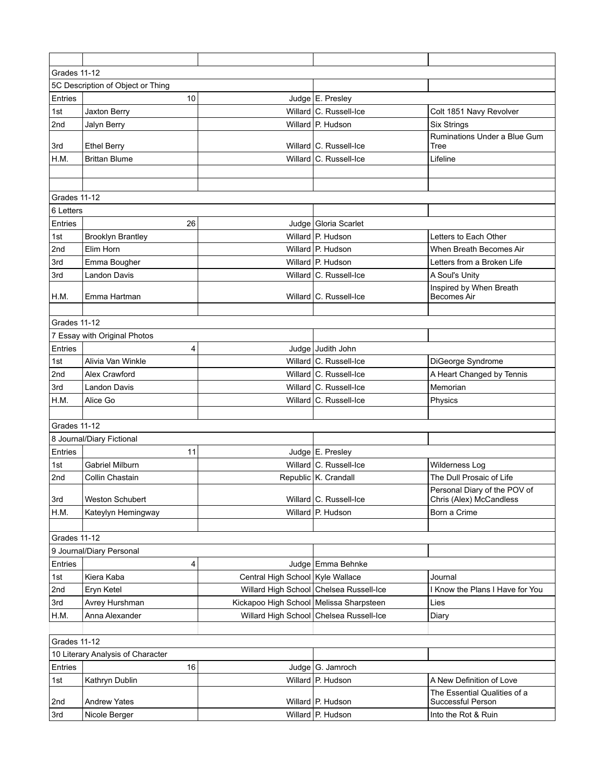| Grades 11-12                      |                                   |                                         |                                         |                                                   |  |  |
|-----------------------------------|-----------------------------------|-----------------------------------------|-----------------------------------------|---------------------------------------------------|--|--|
|                                   | 5C Description of Object or Thing |                                         |                                         |                                                   |  |  |
| Entries                           | 10                                |                                         | Judge E. Presley                        |                                                   |  |  |
| 1st                               | Jaxton Berry                      |                                         | Willard C. Russell-Ice                  | Colt 1851 Navy Revolver                           |  |  |
| 2nd                               | Jalyn Berry                       |                                         | Willard P. Hudson                       | <b>Six Strings</b>                                |  |  |
| 3rd                               | <b>Ethel Berry</b>                |                                         | Willard C. Russell-Ice                  | Ruminations Under a Blue Gum<br>Tree              |  |  |
| H.M.                              | <b>Brittan Blume</b>              |                                         | Willard C. Russell-Ice                  | Lifeline                                          |  |  |
|                                   |                                   |                                         |                                         |                                                   |  |  |
|                                   |                                   |                                         |                                         |                                                   |  |  |
| Grades 11-12                      |                                   |                                         |                                         |                                                   |  |  |
| 6 Letters                         |                                   |                                         |                                         |                                                   |  |  |
| Entries                           | 26                                |                                         | Judge   Gloria Scarlet                  |                                                   |  |  |
| 1st                               | <b>Brooklyn Brantley</b>          |                                         | Willard P. Hudson                       | Letters to Each Other                             |  |  |
| 2nd                               | Elim Horn                         |                                         | Willard P. Hudson                       | When Breath Becomes Air                           |  |  |
| 3rd                               | Emma Bougher                      |                                         | Willard P. Hudson                       | Letters from a Broken Life                        |  |  |
| 3rd                               | <b>Landon Davis</b>               |                                         | Willard C. Russell-Ice                  | A Soul's Unity                                    |  |  |
|                                   |                                   |                                         |                                         | Inspired by When Breath                           |  |  |
| H.M.                              | Emma Hartman                      |                                         | Willard C. Russell-Ice                  | <b>Becomes Air</b>                                |  |  |
|                                   |                                   |                                         |                                         |                                                   |  |  |
| Grades 11-12                      |                                   |                                         |                                         |                                                   |  |  |
|                                   | 7 Essay with Original Photos      |                                         |                                         |                                                   |  |  |
| Entries                           | 4                                 |                                         | Judge Judith John                       |                                                   |  |  |
| 1st                               | Alivia Van Winkle                 |                                         | Willard C. Russell-Ice                  | DiGeorge Syndrome                                 |  |  |
| 2nd                               | Alex Crawford                     |                                         | Willard C. Russell-Ice                  | A Heart Changed by Tennis                         |  |  |
| 3rd                               | Landon Davis                      |                                         | Willard C. Russell-Ice                  | Memorian                                          |  |  |
| H.M.                              | Alice Go                          |                                         | Willard C. Russell-Ice                  | Physics                                           |  |  |
|                                   |                                   |                                         |                                         |                                                   |  |  |
| Grades 11-12                      | 8 Journal/Diary Fictional         |                                         |                                         |                                                   |  |  |
| Entries                           | 11                                |                                         | Judge E. Presley                        |                                                   |  |  |
| 1st                               | <b>Gabriel Milburn</b>            |                                         | Willard C. Russell-Ice                  | Wilderness Log                                    |  |  |
| 2nd                               | Collin Chastain                   |                                         | Republic K. Crandall                    | The Dull Prosaic of Life                          |  |  |
|                                   |                                   |                                         |                                         | Personal Diary of the POV of                      |  |  |
| 3rd                               | Weston Schubert                   |                                         | Willard   C. Russell-Ice                | Chris (Alex) McCandless                           |  |  |
| H.M.                              | Kateylyn Hemingway                |                                         | Willard P. Hudson                       | Born a Crime                                      |  |  |
|                                   |                                   |                                         |                                         |                                                   |  |  |
| Grades 11-12                      |                                   |                                         |                                         |                                                   |  |  |
|                                   | 9 Journal/Diary Personal          |                                         |                                         |                                                   |  |  |
| Entries                           | 4                                 |                                         | Judge Emma Behnke                       |                                                   |  |  |
| 1st                               | Kiera Kaba                        | Central High School Kyle Wallace        |                                         | Journal                                           |  |  |
| 2nd                               | Eryn Ketel                        |                                         | Willard High School Chelsea Russell-Ice | I Know the Plans I Have for You                   |  |  |
| 3rd                               | Avrey Hurshman                    | Kickapoo High School Melissa Sharpsteen |                                         | Lies                                              |  |  |
| H.M.                              | Anna Alexander                    |                                         | Willard High School Chelsea Russell-Ice | Diary                                             |  |  |
|                                   |                                   |                                         |                                         |                                                   |  |  |
| Grades 11-12                      |                                   |                                         |                                         |                                                   |  |  |
| 10 Literary Analysis of Character |                                   |                                         |                                         |                                                   |  |  |
| Entries                           | 16                                |                                         | Judge $ G$ . Jamroch                    |                                                   |  |  |
| 1st                               | Kathryn Dublin                    |                                         | Willard P. Hudson                       | A New Definition of Love                          |  |  |
| 2nd                               | <b>Andrew Yates</b>               |                                         | Willard P. Hudson                       | The Essential Qualities of a<br>Successful Person |  |  |
| 3rd                               | Nicole Berger                     |                                         | Willard P. Hudson                       | Into the Rot & Ruin                               |  |  |
|                                   |                                   |                                         |                                         |                                                   |  |  |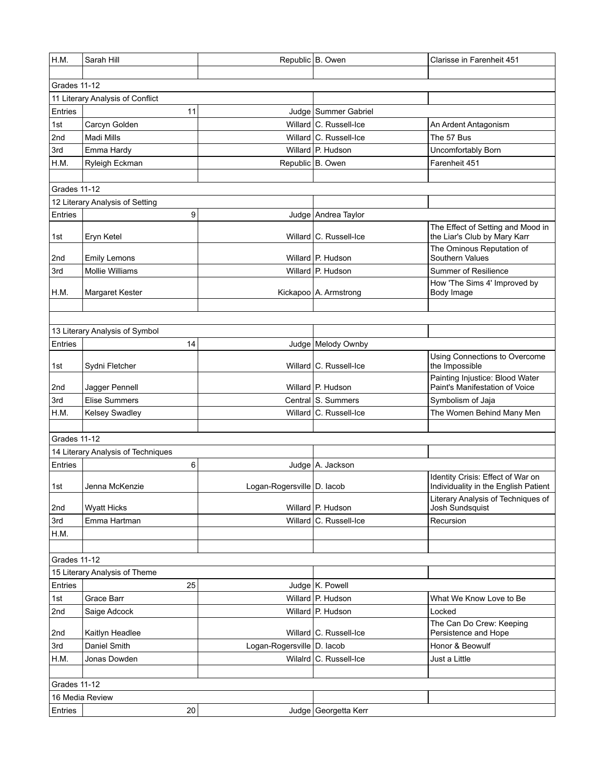| H.M.         | Sarah Hill                         |                              | Republic B. Owen        | Clarisse in Farenheit 451                                                 |  |  |
|--------------|------------------------------------|------------------------------|-------------------------|---------------------------------------------------------------------------|--|--|
|              |                                    |                              |                         |                                                                           |  |  |
| Grades 11-12 |                                    |                              |                         |                                                                           |  |  |
|              | 11 Literary Analysis of Conflict   |                              |                         |                                                                           |  |  |
| Entries      | 11                                 |                              | Judge Summer Gabriel    |                                                                           |  |  |
| 1st          | Carcyn Golden                      |                              | Willard C. Russell-Ice  | An Ardent Antagonism                                                      |  |  |
| 2nd          | Madi Mills                         |                              | Willard C. Russell-Ice  | The 57 Bus                                                                |  |  |
| 3rd          | Emma Hardy                         |                              | Willard P. Hudson       | Uncomfortably Born                                                        |  |  |
| H.M.         | Ryleigh Eckman                     |                              | Republic B. Owen        | Farenheit 451                                                             |  |  |
|              |                                    |                              |                         |                                                                           |  |  |
| Grades 11-12 |                                    |                              |                         |                                                                           |  |  |
|              | 12 Literary Analysis of Setting    |                              |                         |                                                                           |  |  |
| Entries      | 9                                  |                              | Judge   Andrea Taylor   |                                                                           |  |  |
| 1st          | Eryn Ketel                         |                              | Willard C. Russell-Ice  | The Effect of Setting and Mood in<br>the Liar's Club by Mary Karr         |  |  |
| 2nd          | <b>Emily Lemons</b>                |                              | Willard P. Hudson       | The Ominous Reputation of<br>Southern Values                              |  |  |
| 3rd          | <b>Mollie Williams</b>             |                              | Willard P. Hudson       | <b>Summer of Resilience</b>                                               |  |  |
| H.M.         | Margaret Kester                    |                              | Kickapoo   A. Armstrong | How 'The Sims 4' Improved by<br>Body Image                                |  |  |
|              |                                    |                              |                         |                                                                           |  |  |
|              |                                    |                              |                         |                                                                           |  |  |
|              | 13 Literary Analysis of Symbol     |                              |                         |                                                                           |  |  |
| Entries      | 14                                 |                              | Judge   Melody Ownby    |                                                                           |  |  |
| 1st          | Sydni Fletcher                     |                              | Willard C. Russell-Ice  | Using Connections to Overcome<br>the Impossible                           |  |  |
| 2nd          | Jagger Pennell                     |                              | Willard P. Hudson       | Painting Injustice: Blood Water<br>Paint's Manifestation of Voice         |  |  |
| 3rd          | <b>Elise Summers</b>               |                              | Central S. Summers      | Symbolism of Jaja                                                         |  |  |
| H.M.         | Kelsey Swadley                     |                              | Willard C. Russell-Ice  | The Women Behind Many Men                                                 |  |  |
|              |                                    |                              |                         |                                                                           |  |  |
| Grades 11-12 |                                    |                              |                         |                                                                           |  |  |
|              | 14 Literary Analysis of Techniques |                              |                         |                                                                           |  |  |
| Entries      | 6                                  |                              | Judge A. Jackson        |                                                                           |  |  |
| 1st          | Jenna McKenzie                     | Logan-Rogersville   D. lacob |                         | Identity Crisis: Effect of War on<br>Individuality in the English Patient |  |  |
| 2nd          | <b>Wyatt Hicks</b>                 |                              | Willard P. Hudson       | Literary Analysis of Techniques of<br>Josh Sundsquist                     |  |  |
| 3rd          | Emma Hartman                       |                              | Willard C. Russell-Ice  | Recursion                                                                 |  |  |
| H.M.         |                                    |                              |                         |                                                                           |  |  |
|              |                                    |                              |                         |                                                                           |  |  |
| Grades 11-12 |                                    |                              |                         |                                                                           |  |  |
|              | 15 Literary Analysis of Theme      |                              |                         |                                                                           |  |  |
| Entries      | 25                                 |                              | Judge K. Powell         |                                                                           |  |  |
| 1st          | Grace Barr                         |                              | Willard P. Hudson       | What We Know Love to Be                                                   |  |  |
| 2nd          | Saige Adcock                       |                              | Willard P. Hudson       | Locked                                                                    |  |  |
| 2nd          | Kaitlyn Headlee                    |                              | Willard C. Russell-Ice  | The Can Do Crew: Keeping<br>Persistence and Hope                          |  |  |
| 3rd          | Daniel Smith                       | Logan-Rogersville   D. lacob |                         | Honor & Beowulf                                                           |  |  |
| H.M.         | Jonas Dowden                       |                              | Wilalrd C. Russell-Ice  | Just a Little                                                             |  |  |
|              |                                    |                              |                         |                                                                           |  |  |
| Grades 11-12 |                                    |                              |                         |                                                                           |  |  |
|              | 16 Media Review                    |                              |                         |                                                                           |  |  |
| Entries      | 20                                 |                              | Judge Georgetta Kerr    |                                                                           |  |  |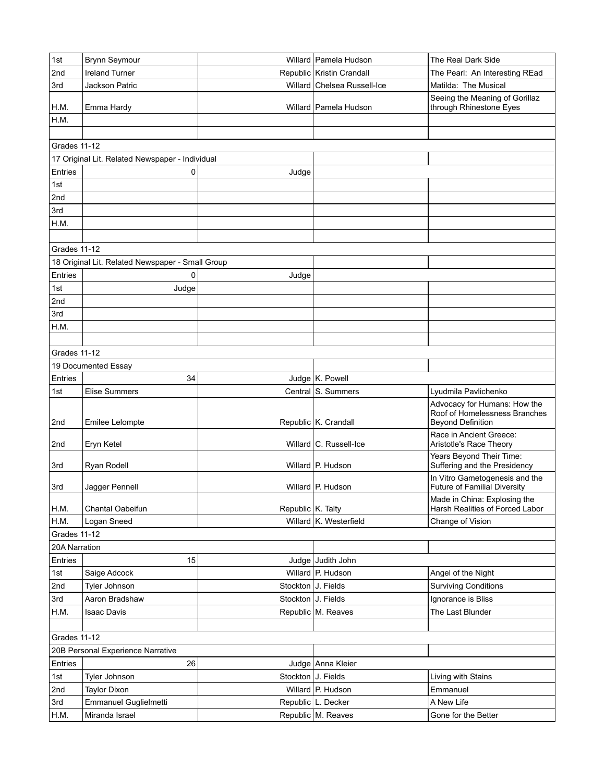| 1st                 | Brynn Seymour                                    |                    | Willard   Pamela Hudson     | The Real Dark Side                                                    |  |  |  |
|---------------------|--------------------------------------------------|--------------------|-----------------------------|-----------------------------------------------------------------------|--|--|--|
| 2nd                 | <b>Ireland Turner</b>                            |                    | Republic Kristin Crandall   | The Pearl: An Interesting REad                                        |  |  |  |
| 3rd                 | Jackson Patric                                   |                    | Willard Chelsea Russell-Ice | Matilda: The Musical                                                  |  |  |  |
| H.M.                | Emma Hardy                                       |                    | Willard   Pamela Hudson     | Seeing the Meaning of Gorillaz<br>through Rhinestone Eyes             |  |  |  |
| H.M.                |                                                  |                    |                             |                                                                       |  |  |  |
|                     |                                                  |                    |                             |                                                                       |  |  |  |
| Grades 11-12        |                                                  |                    |                             |                                                                       |  |  |  |
|                     | 17 Original Lit. Related Newspaper - Individual  |                    |                             |                                                                       |  |  |  |
| Entries             | 0                                                | Judge              |                             |                                                                       |  |  |  |
| 1st                 |                                                  |                    |                             |                                                                       |  |  |  |
| 2nd                 |                                                  |                    |                             |                                                                       |  |  |  |
| 3rd                 |                                                  |                    |                             |                                                                       |  |  |  |
| H.M.                |                                                  |                    |                             |                                                                       |  |  |  |
|                     |                                                  |                    |                             |                                                                       |  |  |  |
| Grades 11-12        |                                                  |                    |                             |                                                                       |  |  |  |
|                     | 18 Original Lit. Related Newspaper - Small Group |                    |                             |                                                                       |  |  |  |
| Entries             | 0                                                | Judge              |                             |                                                                       |  |  |  |
| 1st                 | Judge                                            |                    |                             |                                                                       |  |  |  |
| 2nd                 |                                                  |                    |                             |                                                                       |  |  |  |
| 3rd                 |                                                  |                    |                             |                                                                       |  |  |  |
| H.M.                |                                                  |                    |                             |                                                                       |  |  |  |
|                     |                                                  |                    |                             |                                                                       |  |  |  |
| Grades 11-12        |                                                  |                    |                             |                                                                       |  |  |  |
|                     | 19 Documented Essay                              |                    |                             |                                                                       |  |  |  |
| Entries             | 34                                               |                    | Judge K. Powell             |                                                                       |  |  |  |
| 1st                 | <b>Elise Summers</b>                             |                    | Central S. Summers          | Lyudmila Pavlichenko                                                  |  |  |  |
|                     |                                                  |                    |                             | Advocacy for Humans: How the                                          |  |  |  |
| 2nd                 | Emilee Lelompte                                  |                    | Republic K. Crandall        | Roof of Homelessness Branches<br><b>Beyond Definition</b>             |  |  |  |
| 2nd                 | Eryn Ketel                                       |                    | Willard C. Russell-Ice      | Race in Ancient Greece:<br>Aristotle's Race Theory                    |  |  |  |
| 3rd                 | Ryan Rodell                                      |                    | Willard P. Hudson           | Years Beyond Their Time:<br>Suffering and the Presidency              |  |  |  |
| 3rd                 | Jagger Pennell                                   |                    | Willard P. Hudson           | In Vitro Gametogenesis and the<br><b>Future of Familial Diversity</b> |  |  |  |
|                     |                                                  |                    |                             | Made in China: Explosing the                                          |  |  |  |
| H.M.                | Chantal Oabeifun                                 | Republic K. Talty  |                             | Harsh Realities of Forced Labor                                       |  |  |  |
| H.M.                | Logan Sneed                                      |                    | Willard K. Westerfield      | Change of Vision                                                      |  |  |  |
| <b>Grades 11-12</b> |                                                  |                    |                             |                                                                       |  |  |  |
| 20A Narration       |                                                  |                    |                             |                                                                       |  |  |  |
| Entries             | 15                                               |                    | Judge Judith John           |                                                                       |  |  |  |
| 1st                 | Saige Adcock                                     |                    | Willard P. Hudson           | Angel of the Night                                                    |  |  |  |
| 2nd                 | Tyler Johnson                                    | Stockton J. Fields |                             | <b>Surviving Conditions</b>                                           |  |  |  |
| 3rd                 | Aaron Bradshaw                                   | Stockton J. Fields |                             | Ignorance is Bliss                                                    |  |  |  |
| H.M.                | <b>Isaac Davis</b>                               |                    | Republic M. Reaves          | The Last Blunder                                                      |  |  |  |
|                     |                                                  |                    |                             |                                                                       |  |  |  |
| <b>Grades 11-12</b> |                                                  |                    |                             |                                                                       |  |  |  |
|                     | 20B Personal Experience Narrative                |                    |                             |                                                                       |  |  |  |
| Entries             | 26                                               |                    | Judge Anna Kleier           |                                                                       |  |  |  |
| 1st                 | Tyler Johnson                                    | Stockton J. Fields |                             | Living with Stains                                                    |  |  |  |
| 2nd                 | <b>Taylor Dixon</b>                              |                    | Willard P. Hudson           | Emmanuel                                                              |  |  |  |
| 3rd                 | Emmanuel Guglielmetti                            |                    | Republic L. Decker          | A New Life                                                            |  |  |  |
| H.M.                | Miranda Israel                                   |                    | Republic M. Reaves          | Gone for the Better                                                   |  |  |  |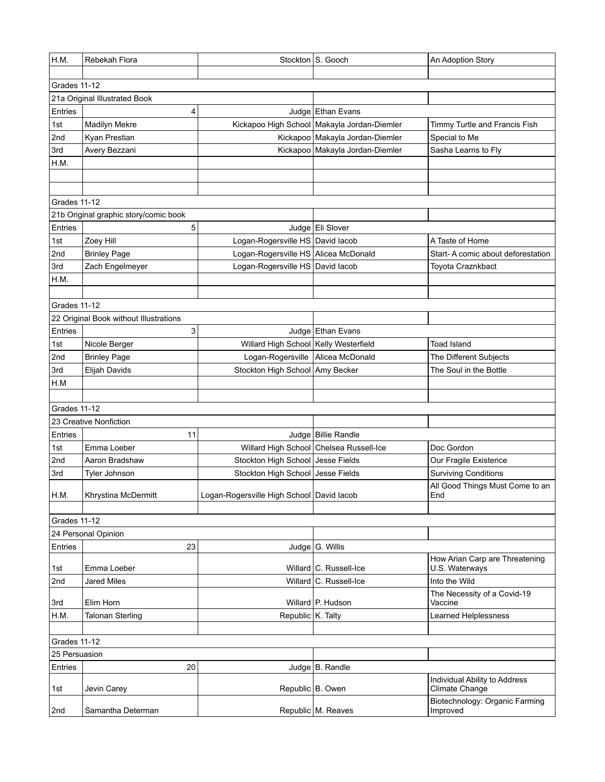| Grades 11-12<br>21a Original Illustrated Book<br>Entries<br>4<br>Judge Ethan Evans<br>Kickapoo High School Makayla Jordan-Diemler<br>1st<br>Madilyn Mekre<br>Timmy Turtle and Francis Fish<br>2nd<br>Kickapoo Makayla Jordan-Diemler<br>Special to Me<br>Kyan Prestian<br>Avery Bezzani<br>Kickapoo Makayla Jordan-Diemler<br>Sasha Learns to Fly<br>3rd<br>H.M.<br>Grades 11-12<br>21b Original graphic story/comic book<br>5<br>Entries<br>Judge Eli Slover<br>Logan-Rogersville HS David lacob<br>Zoey Hill<br>1st<br>A Taste of Home<br>Logan-Rogersville HS Alicea McDonald<br>2nd<br><b>Brinley Page</b><br>Start- A comic about deforestation<br>3rd<br>Zach Engelmeyer<br>Logan-Rogersville HS David lacob<br>Toyota Craznkbact<br>H.M.<br>Grades 11-12<br>22 Original Book without Illustrations<br>Entries<br>3<br>Judge Ethan Evans<br>Willard High School Kelly Westerfield<br>Toad Island<br>1st<br>Nicole Berger<br>Logan-Rogersville   Alicea McDonald<br>The Different Subjects<br>2nd<br><b>Brinley Page</b><br>3rd<br>Elijah Davids<br>Stockton High School Amy Becker<br>The Soul in the Bottle<br>H.M<br>Grades 11-12<br>23 Creative Nonfiction<br>Entries<br>Judge Billie Randle<br>11<br>Willard High School Chelsea Russell-Ice<br>Emma Loeber<br>Doc Gordon<br>1st<br>Stockton High School Jesse Fields<br>2nd<br>Our Fragile Existence<br>Aaron Bradshaw<br>Stockton High School Jesse Fields<br><b>Surviving Conditions</b><br>3rd<br>Tyler Johnson<br>All Good Things Must Come to an<br>H.M.<br>Logan-Rogersville High School David lacob<br>Khrystina McDermitt<br>End<br>Grades 11-12 | H.M. | Rebekah Flora |  | Stockton S. Gooch | An Adoption Story |  |  |
|---------------------------------------------------------------------------------------------------------------------------------------------------------------------------------------------------------------------------------------------------------------------------------------------------------------------------------------------------------------------------------------------------------------------------------------------------------------------------------------------------------------------------------------------------------------------------------------------------------------------------------------------------------------------------------------------------------------------------------------------------------------------------------------------------------------------------------------------------------------------------------------------------------------------------------------------------------------------------------------------------------------------------------------------------------------------------------------------------------------------------------------------------------------------------------------------------------------------------------------------------------------------------------------------------------------------------------------------------------------------------------------------------------------------------------------------------------------------------------------------------------------------------------------------------------------------------------------------------------------------|------|---------------|--|-------------------|-------------------|--|--|
|                                                                                                                                                                                                                                                                                                                                                                                                                                                                                                                                                                                                                                                                                                                                                                                                                                                                                                                                                                                                                                                                                                                                                                                                                                                                                                                                                                                                                                                                                                                                                                                                                     |      |               |  |                   |                   |  |  |
|                                                                                                                                                                                                                                                                                                                                                                                                                                                                                                                                                                                                                                                                                                                                                                                                                                                                                                                                                                                                                                                                                                                                                                                                                                                                                                                                                                                                                                                                                                                                                                                                                     |      |               |  |                   |                   |  |  |
|                                                                                                                                                                                                                                                                                                                                                                                                                                                                                                                                                                                                                                                                                                                                                                                                                                                                                                                                                                                                                                                                                                                                                                                                                                                                                                                                                                                                                                                                                                                                                                                                                     |      |               |  |                   |                   |  |  |
|                                                                                                                                                                                                                                                                                                                                                                                                                                                                                                                                                                                                                                                                                                                                                                                                                                                                                                                                                                                                                                                                                                                                                                                                                                                                                                                                                                                                                                                                                                                                                                                                                     |      |               |  |                   |                   |  |  |
|                                                                                                                                                                                                                                                                                                                                                                                                                                                                                                                                                                                                                                                                                                                                                                                                                                                                                                                                                                                                                                                                                                                                                                                                                                                                                                                                                                                                                                                                                                                                                                                                                     |      |               |  |                   |                   |  |  |
|                                                                                                                                                                                                                                                                                                                                                                                                                                                                                                                                                                                                                                                                                                                                                                                                                                                                                                                                                                                                                                                                                                                                                                                                                                                                                                                                                                                                                                                                                                                                                                                                                     |      |               |  |                   |                   |  |  |
|                                                                                                                                                                                                                                                                                                                                                                                                                                                                                                                                                                                                                                                                                                                                                                                                                                                                                                                                                                                                                                                                                                                                                                                                                                                                                                                                                                                                                                                                                                                                                                                                                     |      |               |  |                   |                   |  |  |
|                                                                                                                                                                                                                                                                                                                                                                                                                                                                                                                                                                                                                                                                                                                                                                                                                                                                                                                                                                                                                                                                                                                                                                                                                                                                                                                                                                                                                                                                                                                                                                                                                     |      |               |  |                   |                   |  |  |
|                                                                                                                                                                                                                                                                                                                                                                                                                                                                                                                                                                                                                                                                                                                                                                                                                                                                                                                                                                                                                                                                                                                                                                                                                                                                                                                                                                                                                                                                                                                                                                                                                     |      |               |  |                   |                   |  |  |
|                                                                                                                                                                                                                                                                                                                                                                                                                                                                                                                                                                                                                                                                                                                                                                                                                                                                                                                                                                                                                                                                                                                                                                                                                                                                                                                                                                                                                                                                                                                                                                                                                     |      |               |  |                   |                   |  |  |
|                                                                                                                                                                                                                                                                                                                                                                                                                                                                                                                                                                                                                                                                                                                                                                                                                                                                                                                                                                                                                                                                                                                                                                                                                                                                                                                                                                                                                                                                                                                                                                                                                     |      |               |  |                   |                   |  |  |
|                                                                                                                                                                                                                                                                                                                                                                                                                                                                                                                                                                                                                                                                                                                                                                                                                                                                                                                                                                                                                                                                                                                                                                                                                                                                                                                                                                                                                                                                                                                                                                                                                     |      |               |  |                   |                   |  |  |
|                                                                                                                                                                                                                                                                                                                                                                                                                                                                                                                                                                                                                                                                                                                                                                                                                                                                                                                                                                                                                                                                                                                                                                                                                                                                                                                                                                                                                                                                                                                                                                                                                     |      |               |  |                   |                   |  |  |
|                                                                                                                                                                                                                                                                                                                                                                                                                                                                                                                                                                                                                                                                                                                                                                                                                                                                                                                                                                                                                                                                                                                                                                                                                                                                                                                                                                                                                                                                                                                                                                                                                     |      |               |  |                   |                   |  |  |
|                                                                                                                                                                                                                                                                                                                                                                                                                                                                                                                                                                                                                                                                                                                                                                                                                                                                                                                                                                                                                                                                                                                                                                                                                                                                                                                                                                                                                                                                                                                                                                                                                     |      |               |  |                   |                   |  |  |
|                                                                                                                                                                                                                                                                                                                                                                                                                                                                                                                                                                                                                                                                                                                                                                                                                                                                                                                                                                                                                                                                                                                                                                                                                                                                                                                                                                                                                                                                                                                                                                                                                     |      |               |  |                   |                   |  |  |
|                                                                                                                                                                                                                                                                                                                                                                                                                                                                                                                                                                                                                                                                                                                                                                                                                                                                                                                                                                                                                                                                                                                                                                                                                                                                                                                                                                                                                                                                                                                                                                                                                     |      |               |  |                   |                   |  |  |
|                                                                                                                                                                                                                                                                                                                                                                                                                                                                                                                                                                                                                                                                                                                                                                                                                                                                                                                                                                                                                                                                                                                                                                                                                                                                                                                                                                                                                                                                                                                                                                                                                     |      |               |  |                   |                   |  |  |
|                                                                                                                                                                                                                                                                                                                                                                                                                                                                                                                                                                                                                                                                                                                                                                                                                                                                                                                                                                                                                                                                                                                                                                                                                                                                                                                                                                                                                                                                                                                                                                                                                     |      |               |  |                   |                   |  |  |
|                                                                                                                                                                                                                                                                                                                                                                                                                                                                                                                                                                                                                                                                                                                                                                                                                                                                                                                                                                                                                                                                                                                                                                                                                                                                                                                                                                                                                                                                                                                                                                                                                     |      |               |  |                   |                   |  |  |
|                                                                                                                                                                                                                                                                                                                                                                                                                                                                                                                                                                                                                                                                                                                                                                                                                                                                                                                                                                                                                                                                                                                                                                                                                                                                                                                                                                                                                                                                                                                                                                                                                     |      |               |  |                   |                   |  |  |
|                                                                                                                                                                                                                                                                                                                                                                                                                                                                                                                                                                                                                                                                                                                                                                                                                                                                                                                                                                                                                                                                                                                                                                                                                                                                                                                                                                                                                                                                                                                                                                                                                     |      |               |  |                   |                   |  |  |
|                                                                                                                                                                                                                                                                                                                                                                                                                                                                                                                                                                                                                                                                                                                                                                                                                                                                                                                                                                                                                                                                                                                                                                                                                                                                                                                                                                                                                                                                                                                                                                                                                     |      |               |  |                   |                   |  |  |
|                                                                                                                                                                                                                                                                                                                                                                                                                                                                                                                                                                                                                                                                                                                                                                                                                                                                                                                                                                                                                                                                                                                                                                                                                                                                                                                                                                                                                                                                                                                                                                                                                     |      |               |  |                   |                   |  |  |
|                                                                                                                                                                                                                                                                                                                                                                                                                                                                                                                                                                                                                                                                                                                                                                                                                                                                                                                                                                                                                                                                                                                                                                                                                                                                                                                                                                                                                                                                                                                                                                                                                     |      |               |  |                   |                   |  |  |
|                                                                                                                                                                                                                                                                                                                                                                                                                                                                                                                                                                                                                                                                                                                                                                                                                                                                                                                                                                                                                                                                                                                                                                                                                                                                                                                                                                                                                                                                                                                                                                                                                     |      |               |  |                   |                   |  |  |
|                                                                                                                                                                                                                                                                                                                                                                                                                                                                                                                                                                                                                                                                                                                                                                                                                                                                                                                                                                                                                                                                                                                                                                                                                                                                                                                                                                                                                                                                                                                                                                                                                     |      |               |  |                   |                   |  |  |
|                                                                                                                                                                                                                                                                                                                                                                                                                                                                                                                                                                                                                                                                                                                                                                                                                                                                                                                                                                                                                                                                                                                                                                                                                                                                                                                                                                                                                                                                                                                                                                                                                     |      |               |  |                   |                   |  |  |
|                                                                                                                                                                                                                                                                                                                                                                                                                                                                                                                                                                                                                                                                                                                                                                                                                                                                                                                                                                                                                                                                                                                                                                                                                                                                                                                                                                                                                                                                                                                                                                                                                     |      |               |  |                   |                   |  |  |
|                                                                                                                                                                                                                                                                                                                                                                                                                                                                                                                                                                                                                                                                                                                                                                                                                                                                                                                                                                                                                                                                                                                                                                                                                                                                                                                                                                                                                                                                                                                                                                                                                     |      |               |  |                   |                   |  |  |
|                                                                                                                                                                                                                                                                                                                                                                                                                                                                                                                                                                                                                                                                                                                                                                                                                                                                                                                                                                                                                                                                                                                                                                                                                                                                                                                                                                                                                                                                                                                                                                                                                     |      |               |  |                   |                   |  |  |
|                                                                                                                                                                                                                                                                                                                                                                                                                                                                                                                                                                                                                                                                                                                                                                                                                                                                                                                                                                                                                                                                                                                                                                                                                                                                                                                                                                                                                                                                                                                                                                                                                     |      |               |  |                   |                   |  |  |
|                                                                                                                                                                                                                                                                                                                                                                                                                                                                                                                                                                                                                                                                                                                                                                                                                                                                                                                                                                                                                                                                                                                                                                                                                                                                                                                                                                                                                                                                                                                                                                                                                     |      |               |  |                   |                   |  |  |
|                                                                                                                                                                                                                                                                                                                                                                                                                                                                                                                                                                                                                                                                                                                                                                                                                                                                                                                                                                                                                                                                                                                                                                                                                                                                                                                                                                                                                                                                                                                                                                                                                     |      |               |  |                   |                   |  |  |
|                                                                                                                                                                                                                                                                                                                                                                                                                                                                                                                                                                                                                                                                                                                                                                                                                                                                                                                                                                                                                                                                                                                                                                                                                                                                                                                                                                                                                                                                                                                                                                                                                     |      |               |  |                   |                   |  |  |
|                                                                                                                                                                                                                                                                                                                                                                                                                                                                                                                                                                                                                                                                                                                                                                                                                                                                                                                                                                                                                                                                                                                                                                                                                                                                                                                                                                                                                                                                                                                                                                                                                     |      |               |  |                   |                   |  |  |
| 24 Personal Opinion                                                                                                                                                                                                                                                                                                                                                                                                                                                                                                                                                                                                                                                                                                                                                                                                                                                                                                                                                                                                                                                                                                                                                                                                                                                                                                                                                                                                                                                                                                                                                                                                 |      |               |  |                   |                   |  |  |
| 23<br>Entries<br>Judge G. Willis                                                                                                                                                                                                                                                                                                                                                                                                                                                                                                                                                                                                                                                                                                                                                                                                                                                                                                                                                                                                                                                                                                                                                                                                                                                                                                                                                                                                                                                                                                                                                                                    |      |               |  |                   |                   |  |  |
| How Arian Carp are Threatening                                                                                                                                                                                                                                                                                                                                                                                                                                                                                                                                                                                                                                                                                                                                                                                                                                                                                                                                                                                                                                                                                                                                                                                                                                                                                                                                                                                                                                                                                                                                                                                      |      |               |  |                   |                   |  |  |
| Emma Loeber<br>Willard C. Russell-Ice<br>U.S. Waterways<br>1st                                                                                                                                                                                                                                                                                                                                                                                                                                                                                                                                                                                                                                                                                                                                                                                                                                                                                                                                                                                                                                                                                                                                                                                                                                                                                                                                                                                                                                                                                                                                                      |      |               |  |                   |                   |  |  |
| 2nd<br>Willard C. Russell-Ice<br>Into the Wild<br>Jared Miles                                                                                                                                                                                                                                                                                                                                                                                                                                                                                                                                                                                                                                                                                                                                                                                                                                                                                                                                                                                                                                                                                                                                                                                                                                                                                                                                                                                                                                                                                                                                                       |      |               |  |                   |                   |  |  |
| The Necessity of a Covid-19<br>Willard P. Hudson<br>Elim Horn<br>3rd<br>Vaccine                                                                                                                                                                                                                                                                                                                                                                                                                                                                                                                                                                                                                                                                                                                                                                                                                                                                                                                                                                                                                                                                                                                                                                                                                                                                                                                                                                                                                                                                                                                                     |      |               |  |                   |                   |  |  |
| Republic K. Talty<br>H.M.<br><b>Talonan Sterling</b><br><b>Learned Helplessness</b>                                                                                                                                                                                                                                                                                                                                                                                                                                                                                                                                                                                                                                                                                                                                                                                                                                                                                                                                                                                                                                                                                                                                                                                                                                                                                                                                                                                                                                                                                                                                 |      |               |  |                   |                   |  |  |
|                                                                                                                                                                                                                                                                                                                                                                                                                                                                                                                                                                                                                                                                                                                                                                                                                                                                                                                                                                                                                                                                                                                                                                                                                                                                                                                                                                                                                                                                                                                                                                                                                     |      |               |  |                   |                   |  |  |
| <b>Grades 11-12</b>                                                                                                                                                                                                                                                                                                                                                                                                                                                                                                                                                                                                                                                                                                                                                                                                                                                                                                                                                                                                                                                                                                                                                                                                                                                                                                                                                                                                                                                                                                                                                                                                 |      |               |  |                   |                   |  |  |
| 25 Persuasion                                                                                                                                                                                                                                                                                                                                                                                                                                                                                                                                                                                                                                                                                                                                                                                                                                                                                                                                                                                                                                                                                                                                                                                                                                                                                                                                                                                                                                                                                                                                                                                                       |      |               |  |                   |                   |  |  |
| 20<br>Judge B. Randle<br>Entries                                                                                                                                                                                                                                                                                                                                                                                                                                                                                                                                                                                                                                                                                                                                                                                                                                                                                                                                                                                                                                                                                                                                                                                                                                                                                                                                                                                                                                                                                                                                                                                    |      |               |  |                   |                   |  |  |
| Individual Ability to Address<br>Climate Change<br>Jevin Carey<br>Republic B. Owen<br>1st                                                                                                                                                                                                                                                                                                                                                                                                                                                                                                                                                                                                                                                                                                                                                                                                                                                                                                                                                                                                                                                                                                                                                                                                                                                                                                                                                                                                                                                                                                                           |      |               |  |                   |                   |  |  |
| Biotechnology: Organic Farming<br>Republic M. Reaves<br>2nd<br>Samantha Determan<br>Improved                                                                                                                                                                                                                                                                                                                                                                                                                                                                                                                                                                                                                                                                                                                                                                                                                                                                                                                                                                                                                                                                                                                                                                                                                                                                                                                                                                                                                                                                                                                        |      |               |  |                   |                   |  |  |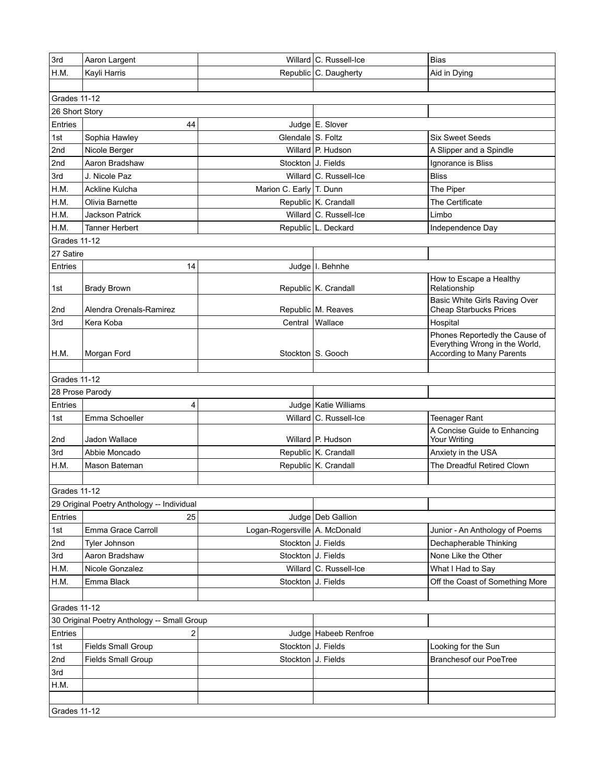| 3rd            | Aaron Largent                               |                               | Willard C. Russell-Ice | <b>Bias</b>                                                                                   |  |
|----------------|---------------------------------------------|-------------------------------|------------------------|-----------------------------------------------------------------------------------------------|--|
| H.M.           | Kayli Harris                                |                               | Republic C. Daugherty  | Aid in Dying                                                                                  |  |
|                |                                             |                               |                        |                                                                                               |  |
| Grades 11-12   |                                             |                               |                        |                                                                                               |  |
| 26 Short Story |                                             |                               |                        |                                                                                               |  |
| Entries        | 44                                          |                               | Judge E. Slover        |                                                                                               |  |
| 1st            | Sophia Hawley                               | Glendale S. Foltz             |                        | <b>Six Sweet Seeds</b>                                                                        |  |
| 2nd            | Nicole Berger                               |                               | Willard P. Hudson      | A Slipper and a Spindle                                                                       |  |
| 2nd            | Aaron Bradshaw                              | Stockton J. Fields            |                        | Ignorance is Bliss                                                                            |  |
| 3rd            | J. Nicole Paz                               |                               | Willard C. Russell-Ice | <b>Bliss</b>                                                                                  |  |
| H.M.           | <b>Ackline Kulcha</b>                       | Marion C. Early T. Dunn       |                        | The Piper                                                                                     |  |
| H.M.           | Olivia Barnette                             |                               | Republic K. Crandall   | The Certificate                                                                               |  |
| H.M.           | <b>Jackson Patrick</b>                      |                               | Willard C. Russell-Ice | Limbo                                                                                         |  |
| H.M.           | <b>Tanner Herbert</b>                       |                               | Republic L. Deckard    | Independence Day                                                                              |  |
| Grades 11-12   |                                             |                               |                        |                                                                                               |  |
| 27 Satire      |                                             |                               |                        |                                                                                               |  |
| Entries        | 14                                          |                               | Judge   I. Behnhe      |                                                                                               |  |
|                |                                             |                               |                        | How to Escape a Healthy                                                                       |  |
| 1st            | <b>Brady Brown</b>                          |                               | Republic K. Crandall   | Relationship                                                                                  |  |
|                |                                             |                               |                        | Basic White Girls Raving Over                                                                 |  |
| 2nd            | Alendra Orenals-Ramirez                     |                               | Republic M. Reaves     | <b>Cheap Starbucks Prices</b>                                                                 |  |
| 3rd            | Kera Koba                                   | Central Wallace               |                        | Hospital                                                                                      |  |
| H.M.           | Morgan Ford                                 |                               | Stockton S. Gooch      | Phones Reportedly the Cause of<br>Everything Wrong in the World,<br>According to Many Parents |  |
|                |                                             |                               |                        |                                                                                               |  |
| Grades 11-12   |                                             |                               |                        |                                                                                               |  |
|                | 28 Prose Parody                             |                               |                        |                                                                                               |  |
| Entries        | 4                                           |                               | Judge   Katie Williams |                                                                                               |  |
| 1st            | Emma Schoeller                              |                               | Willard C. Russell-Ice | <b>Teenager Rant</b>                                                                          |  |
| 2nd            | Jadon Wallace                               |                               | Willard P. Hudson      | A Concise Guide to Enhancing<br>Your Writing                                                  |  |
| 3rd            | Abbie Moncado                               |                               | Republic K. Crandall   | Anxiety in the USA                                                                            |  |
| H.M.           | Mason Bateman                               |                               | Republic K. Crandall   | The Dreadful Retired Clown                                                                    |  |
|                |                                             |                               |                        |                                                                                               |  |
| Grades 11-12   |                                             |                               |                        |                                                                                               |  |
|                | 29 Original Poetry Anthology -- Individual  |                               |                        |                                                                                               |  |
| Entries        | 25                                          |                               | Judge   Deb Gallion    |                                                                                               |  |
|                |                                             |                               |                        |                                                                                               |  |
| 1st            | Emma Grace Carroll                          | Logan-Rogersville A. McDonald |                        | Junior - An Anthology of Poems                                                                |  |
| 2nd            | Tyler Johnson                               | Stockton J. Fields            |                        | Dechapherable Thinking                                                                        |  |
| 3rd            | Aaron Bradshaw                              | Stockton J. Fields            |                        | None Like the Other                                                                           |  |
| H.M.           | Nicole Gonzalez                             |                               | Willard C. Russell-Ice | What I Had to Say                                                                             |  |
| H.M.           | Emma Black                                  | Stockton   J. Fields          |                        | Off the Coast of Something More                                                               |  |
|                |                                             |                               |                        |                                                                                               |  |
| Grades 11-12   |                                             |                               |                        |                                                                                               |  |
|                | 30 Original Poetry Anthology -- Small Group |                               |                        |                                                                                               |  |
| Entries        | 2                                           |                               | Judge   Habeeb Renfroe |                                                                                               |  |
| 1st            | Fields Small Group                          | Stockton J. Fields            |                        | Looking for the Sun                                                                           |  |
| 2nd            | <b>Fields Small Group</b>                   | Stockton J. Fields            |                        | <b>Branchesof our PoeTree</b>                                                                 |  |
| 3rd            |                                             |                               |                        |                                                                                               |  |
| H.M.           |                                             |                               |                        |                                                                                               |  |
|                |                                             |                               |                        |                                                                                               |  |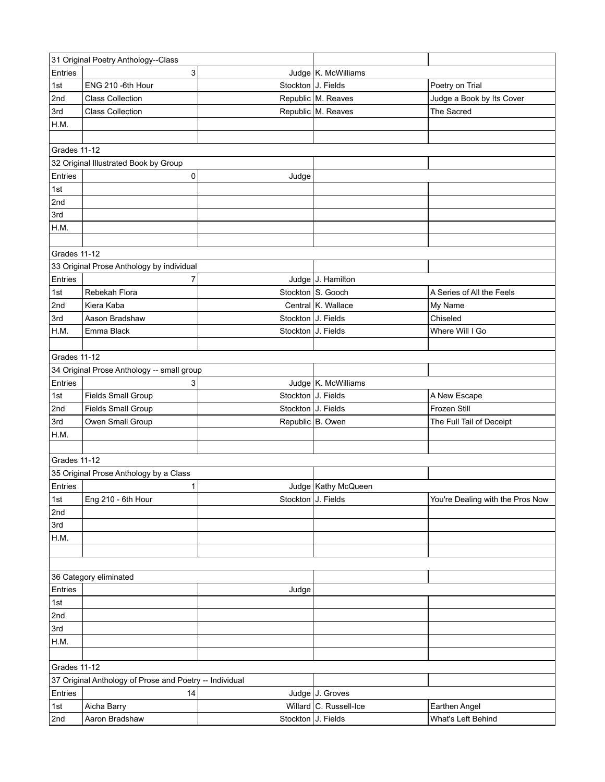| 31 Original Poetry Anthology--Class                                     |                                            |                    |                        |                                  |  |
|-------------------------------------------------------------------------|--------------------------------------------|--------------------|------------------------|----------------------------------|--|
| Entries                                                                 | 3                                          |                    | Judge   K. McWilliams  |                                  |  |
| 1st                                                                     | ENG 210 -6th Hour                          | Stockton J. Fields |                        | Poetry on Trial                  |  |
| 2nd                                                                     | <b>Class Collection</b>                    |                    | Republic M. Reaves     | Judge a Book by Its Cover        |  |
| 3rd                                                                     | <b>Class Collection</b>                    |                    | Republic M. Reaves     | The Sacred                       |  |
| H.M.                                                                    |                                            |                    |                        |                                  |  |
|                                                                         |                                            |                    |                        |                                  |  |
| Grades 11-12                                                            |                                            |                    |                        |                                  |  |
|                                                                         | 32 Original Illustrated Book by Group      |                    |                        |                                  |  |
| Entries                                                                 | 0                                          | Judge              |                        |                                  |  |
| 1st                                                                     |                                            |                    |                        |                                  |  |
| 2nd                                                                     |                                            |                    |                        |                                  |  |
| 3rd                                                                     |                                            |                    |                        |                                  |  |
| H.M.                                                                    |                                            |                    |                        |                                  |  |
|                                                                         |                                            |                    |                        |                                  |  |
| Grades 11-12                                                            |                                            |                    |                        |                                  |  |
|                                                                         | 33 Original Prose Anthology by individual  |                    |                        |                                  |  |
| Entries                                                                 | 7                                          |                    | Judge J. Hamilton      |                                  |  |
| 1st                                                                     | Rebekah Flora                              |                    | Stockton S. Gooch      | A Series of All the Feels        |  |
| 2nd                                                                     | Kiera Kaba                                 |                    | Central K. Wallace     | My Name                          |  |
| 3rd                                                                     | Aason Bradshaw                             | Stockton J. Fields |                        | Chiseled                         |  |
| H.M.                                                                    | Emma Black                                 | Stockton J. Fields |                        | Where Will I Go                  |  |
|                                                                         |                                            |                    |                        |                                  |  |
| Grades 11-12                                                            |                                            |                    |                        |                                  |  |
|                                                                         | 34 Original Prose Anthology -- small group |                    |                        |                                  |  |
| Entries                                                                 | 3                                          |                    | Judge K. McWilliams    |                                  |  |
| 1st                                                                     | Fields Small Group                         | Stockton J. Fields |                        | A New Escape                     |  |
| 2nd                                                                     | <b>Fields Small Group</b>                  | Stockton J. Fields |                        | Frozen Still                     |  |
| 3rd                                                                     | Owen Small Group                           | Republic B. Owen   |                        | The Full Tail of Deceipt         |  |
| H.M.                                                                    |                                            |                    |                        |                                  |  |
|                                                                         |                                            |                    |                        |                                  |  |
| Grades 11-12                                                            |                                            |                    |                        |                                  |  |
|                                                                         | 35 Original Prose Anthology by a Class     |                    |                        |                                  |  |
| Entries                                                                 | 1                                          |                    | Judge   Kathy McQueen  |                                  |  |
| 1st                                                                     | Eng 210 - 6th Hour                         | Stockton J. Fields |                        | You're Dealing with the Pros Now |  |
| 2nd                                                                     |                                            |                    |                        |                                  |  |
| 3rd                                                                     |                                            |                    |                        |                                  |  |
| H.M.                                                                    |                                            |                    |                        |                                  |  |
|                                                                         |                                            |                    |                        |                                  |  |
|                                                                         |                                            |                    |                        |                                  |  |
|                                                                         | 36 Category eliminated                     |                    |                        |                                  |  |
| Entries                                                                 |                                            |                    |                        |                                  |  |
| 1st                                                                     |                                            | Judge              |                        |                                  |  |
| 2nd                                                                     |                                            |                    |                        |                                  |  |
| 3rd                                                                     |                                            |                    |                        |                                  |  |
| H.M.                                                                    |                                            |                    |                        |                                  |  |
|                                                                         |                                            |                    |                        |                                  |  |
|                                                                         |                                            |                    |                        |                                  |  |
| Grades 11-12<br>37 Original Anthology of Prose and Poetry -- Individual |                                            |                    |                        |                                  |  |
|                                                                         |                                            |                    |                        |                                  |  |
| Entries                                                                 | 14                                         |                    | Judge J. Groves        |                                  |  |
| 1st                                                                     | Aicha Barry                                |                    | Willard C. Russell-Ice | Earthen Angel                    |  |
| 2nd                                                                     | Aaron Bradshaw                             | Stockton J. Fields |                        | What's Left Behind               |  |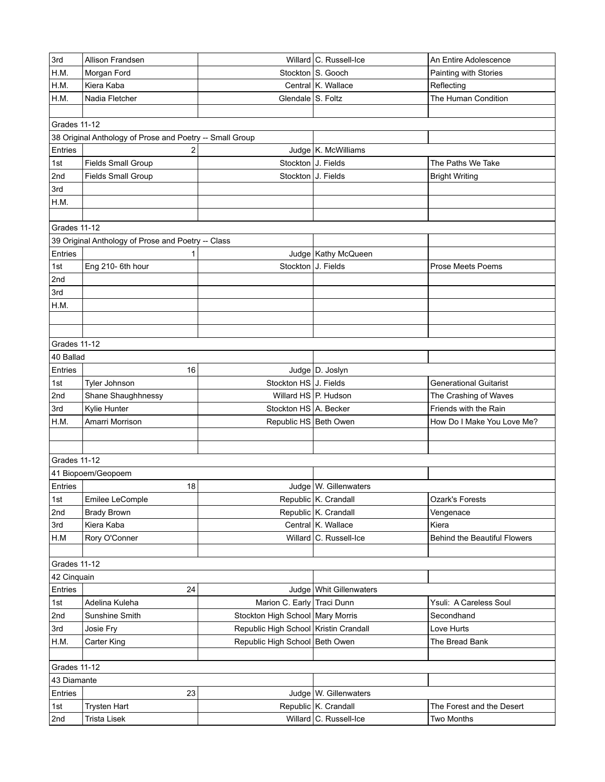| 3rd                 | Allison Frandsen                                         |                                       | Willard C. Russell-Ice    | An Entire Adolescence         |  |  |
|---------------------|----------------------------------------------------------|---------------------------------------|---------------------------|-------------------------------|--|--|
| H.M.                | Morgan Ford                                              |                                       | Stockton S. Gooch         | Painting with Stories         |  |  |
| H.M.                | Kiera Kaba                                               |                                       | Central K. Wallace        | Reflecting                    |  |  |
| H.M.                | Nadia Fletcher                                           | Glendale S. Foltz                     |                           | The Human Condition           |  |  |
|                     |                                                          |                                       |                           |                               |  |  |
| Grades 11-12        |                                                          |                                       |                           |                               |  |  |
|                     | 38 Original Anthology of Prose and Poetry -- Small Group |                                       |                           |                               |  |  |
| Entries             | 2                                                        |                                       | Judge   K. McWilliams     |                               |  |  |
| 1st                 | <b>Fields Small Group</b>                                | Stockton J. Fields                    |                           | The Paths We Take             |  |  |
| 2nd                 | <b>Fields Small Group</b>                                | Stockton J. Fields                    |                           | <b>Bright Writing</b>         |  |  |
| 3rd                 |                                                          |                                       |                           |                               |  |  |
| H.M.                |                                                          |                                       |                           |                               |  |  |
|                     |                                                          |                                       |                           |                               |  |  |
| Grades 11-12        |                                                          |                                       |                           |                               |  |  |
|                     | 39 Original Anthology of Prose and Poetry -- Class       |                                       |                           |                               |  |  |
| Entries             | 1                                                        |                                       | Judge   Kathy McQueen     |                               |  |  |
| 1st                 | Eng 210-6th hour                                         | Stockton J. Fields                    |                           | <b>Prose Meets Poems</b>      |  |  |
| 2nd                 |                                                          |                                       |                           |                               |  |  |
| 3rd                 |                                                          |                                       |                           |                               |  |  |
| H.M.                |                                                          |                                       |                           |                               |  |  |
|                     |                                                          |                                       |                           |                               |  |  |
|                     |                                                          |                                       |                           |                               |  |  |
| Grades 11-12        |                                                          |                                       |                           |                               |  |  |
| 40 Ballad           |                                                          |                                       |                           |                               |  |  |
| Entries             | 16                                                       |                                       | Judge D. Joslyn           |                               |  |  |
| 1st                 | Tyler Johnson                                            | Stockton HS J. Fields                 |                           | <b>Generational Guitarist</b> |  |  |
| 2nd                 | Shane Shaughhnessy                                       | Willard HS P. Hudson                  |                           | The Crashing of Waves         |  |  |
| 3rd                 | Kylie Hunter                                             | Stockton HS A. Becker                 |                           | Friends with the Rain         |  |  |
| H.M.                | Amarri Morrison                                          | Republic HS Beth Owen                 |                           | How Do I Make You Love Me?    |  |  |
|                     |                                                          |                                       |                           |                               |  |  |
|                     |                                                          |                                       |                           |                               |  |  |
| Grades 11-12        |                                                          |                                       |                           |                               |  |  |
|                     | 41 Biopoem/Geopoem                                       |                                       |                           |                               |  |  |
| Entries             | 18                                                       |                                       | Judge   W. Gillenwaters   |                               |  |  |
| 1st                 | Emilee LeComple                                          |                                       | Republic K. Crandall      | Ozark's Forests               |  |  |
| 2nd                 | <b>Brady Brown</b>                                       |                                       | Republic K. Crandall      | Vengenace                     |  |  |
| 3rd                 | Kiera Kaba                                               |                                       | Central K. Wallace        | Kiera                         |  |  |
| H.M                 | Rory O'Conner                                            |                                       | Willard C. Russell-Ice    | Behind the Beautiful Flowers  |  |  |
|                     |                                                          |                                       |                           |                               |  |  |
| <b>Grades 11-12</b> |                                                          |                                       |                           |                               |  |  |
| 42 Cinquain         |                                                          |                                       |                           |                               |  |  |
| Entries             | 24                                                       |                                       | Judge   Whit Gillenwaters |                               |  |  |
| 1st                 | Adelina Kuleha                                           | Marion C. Early Traci Dunn            |                           | Ysuli: A Careless Soul        |  |  |
| 2nd                 | Sunshine Smith                                           | Stockton High School   Mary Morris    |                           | Secondhand                    |  |  |
| 3rd                 | Josie Fry                                                | Republic High School Kristin Crandall |                           | Love Hurts                    |  |  |
| H.M.                | Carter King                                              | Republic High School Beth Owen        |                           | The Bread Bank                |  |  |
|                     |                                                          |                                       |                           |                               |  |  |
| <b>Grades 11-12</b> |                                                          |                                       |                           |                               |  |  |
| 43 Diamante         |                                                          |                                       |                           |                               |  |  |
| Entries             | 23                                                       |                                       | Judge   W. Gillenwaters   |                               |  |  |
| 1st                 | <b>Trysten Hart</b>                                      |                                       | Republic K. Crandall      | The Forest and the Desert     |  |  |
| 2nd                 | <b>Trista Lisek</b>                                      |                                       | Willard C. Russell-Ice    | Two Months                    |  |  |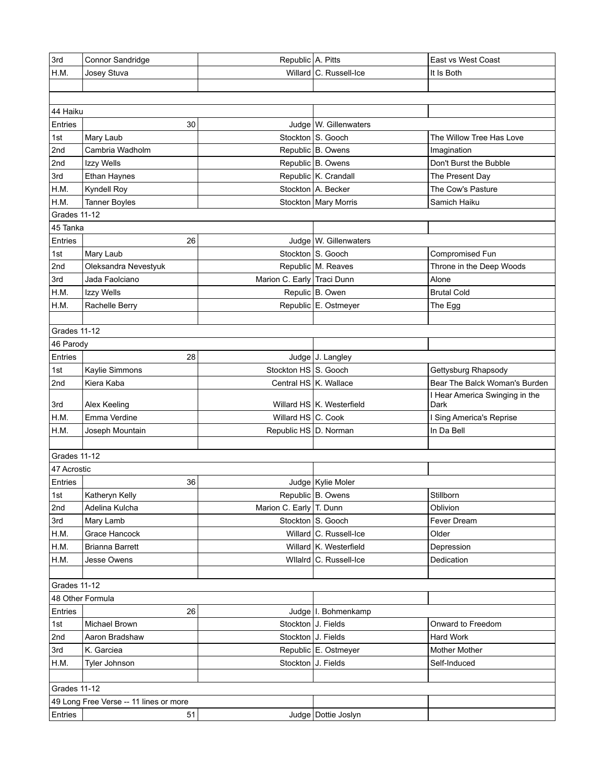| 3rd                 | Connor Sandridge                       | Republic A. Pitts          |                           | East vs West Coast                     |  |
|---------------------|----------------------------------------|----------------------------|---------------------------|----------------------------------------|--|
| H.M.                | Josey Stuva                            |                            | Willard C. Russell-Ice    | It Is Both                             |  |
|                     |                                        |                            |                           |                                        |  |
|                     |                                        |                            |                           |                                        |  |
| 44 Haiku            |                                        |                            |                           |                                        |  |
| Entries             | 30                                     |                            | Judge   W. Gillenwaters   |                                        |  |
| 1st                 | Mary Laub                              |                            | Stockton S. Gooch         | The Willow Tree Has Love               |  |
| 2nd                 | Cambria Wadholm                        |                            | Republic B. Owens         | Imagination                            |  |
| 2nd                 | Izzy Wells                             |                            | Republic B. Owens         | Don't Burst the Bubble                 |  |
| 3rd                 | Ethan Haynes                           |                            | Republic K. Crandall      | The Present Day                        |  |
| H.M.                | Kyndell Roy                            |                            | Stockton A. Becker        | The Cow's Pasture                      |  |
| H.M.                | <b>Tanner Boyles</b>                   |                            | Stockton   Mary Morris    | Samich Haiku                           |  |
| Grades 11-12        |                                        |                            |                           |                                        |  |
| 45 Tanka            |                                        |                            |                           |                                        |  |
| Entries             | 26                                     |                            | Judge W. Gillenwaters     |                                        |  |
| 1st                 | Mary Laub                              |                            | Stockton S. Gooch         | Compromised Fun                        |  |
| 2nd                 | Oleksandra Nevestyuk                   |                            | Republic M. Reaves        | Throne in the Deep Woods               |  |
| 3rd                 | Jada Faolciano                         | Marion C. Early Traci Dunn |                           | Alone                                  |  |
| H.M.                | Izzy Wells                             |                            | Repulic B. Owen           | <b>Brutal Cold</b>                     |  |
| H.M.                | Rachelle Berry                         |                            | Republic E. Ostmeyer      | The Egg                                |  |
|                     |                                        |                            |                           |                                        |  |
| Grades 11-12        |                                        |                            |                           |                                        |  |
| 46 Parody           |                                        |                            |                           |                                        |  |
| Entries             | 28                                     |                            | Judge J. Langley          |                                        |  |
| 1st                 | Kaylie Simmons                         | Stockton HS S. Gooch       |                           | Gettysburg Rhapsody                    |  |
| 2nd                 | Kiera Kaba                             | Central HS K. Wallace      |                           | Bear The Balck Woman's Burden          |  |
| 3rd                 | Alex Keeling                           |                            | Willard HS K. Westerfield | I Hear America Swinging in the<br>Dark |  |
| H.M.                | Emma Verdine                           | Willard HS C. Cook         |                           | I Sing America's Reprise               |  |
| H.M.                | Joseph Mountain                        | Republic HS D. Norman      |                           | In Da Bell                             |  |
|                     |                                        |                            |                           |                                        |  |
| Grades 11-12        |                                        |                            |                           |                                        |  |
| 47 Acrostic         |                                        |                            |                           |                                        |  |
| Entries             | 36                                     |                            | Judge   Kylie Moler       |                                        |  |
| 1st                 | Katheryn Kelly                         |                            | Republic B. Owens         | Stillborn                              |  |
| 2nd                 | Adelina Kulcha                         | Marion C. Early T. Dunn    |                           | Oblivion                               |  |
| 3rd                 | Mary Lamb                              |                            | Stockton S. Gooch         | Fever Dream                            |  |
| H.M.                | Grace Hancock                          |                            | Willard C. Russell-Ice    | Older                                  |  |
| H.M.                | Brianna Barrett                        |                            | Willard K. Westerfield    | Depression                             |  |
| H.M.                | Jesse Owens                            |                            | Wilalrd C. Russell-Ice    | Dedication                             |  |
|                     |                                        |                            |                           |                                        |  |
| Grades 11-12        |                                        |                            |                           |                                        |  |
|                     | 48 Other Formula                       |                            |                           |                                        |  |
| Entries             | 26                                     |                            | Judge   I. Bohmenkamp     |                                        |  |
| 1st                 | Michael Brown                          | Stockton J. Fields         |                           | Onward to Freedom                      |  |
| 2nd                 | Aaron Bradshaw                         | Stockton J. Fields         |                           | Hard Work                              |  |
| 3rd                 | K. Garciea                             |                            | Republic E. Ostmeyer      | Mother Mother                          |  |
| H.M.                | Tyler Johnson                          | Stockton J. Fields         |                           | Self-Induced                           |  |
|                     |                                        |                            |                           |                                        |  |
| <b>Grades 11-12</b> |                                        |                            |                           |                                        |  |
|                     | 49 Long Free Verse -- 11 lines or more |                            |                           |                                        |  |
| Entries             | 51                                     |                            | Judge   Dottie Joslyn     |                                        |  |
|                     |                                        |                            |                           |                                        |  |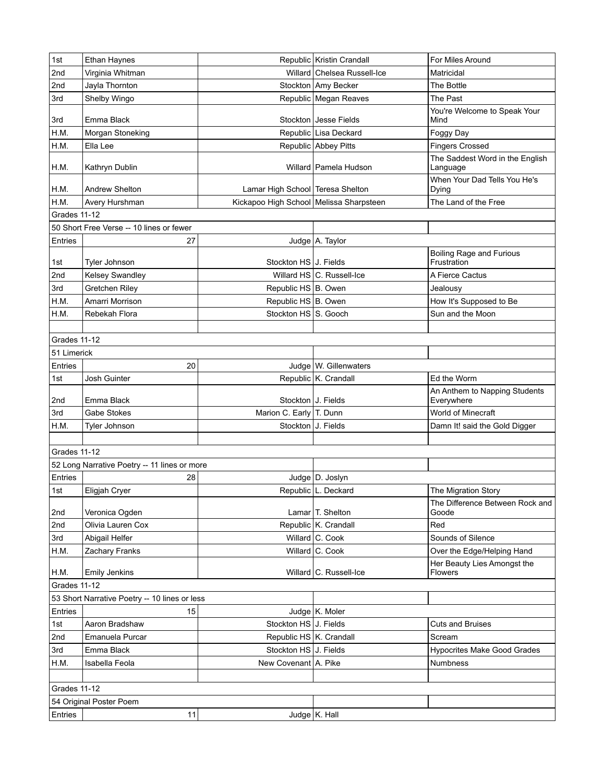| 1st          | Ethan Haynes                                  |                                         | Republic Kristin Crandall    | For Miles Around                               |
|--------------|-----------------------------------------------|-----------------------------------------|------------------------------|------------------------------------------------|
| 2nd          | Virginia Whitman                              |                                         | Willard Chelsea Russell-Ice  | Matricidal                                     |
| 2nd          | Jayla Thornton                                |                                         | Stockton   Amy Becker        | The Bottle                                     |
| 3rd          | Shelby Wingo                                  |                                         | Republic Megan Reaves        | The Past                                       |
| 3rd          | Emma Black                                    |                                         | Stockton   Jesse Fields      | You're Welcome to Speak Your<br>Mind           |
| H.M.         | Morgan Stoneking                              |                                         | Republic Lisa Deckard        | Foggy Day                                      |
| H.M.         | Ella Lee                                      |                                         | Republic Abbey Pitts         | <b>Fingers Crossed</b>                         |
| H.M.         | Kathryn Dublin                                |                                         | Willard   Pamela Hudson      | The Saddest Word in the English<br>Language    |
| H.M.         | <b>Andrew Shelton</b>                         | Lamar High School Teresa Shelton        |                              | When Your Dad Tells You He's<br>Dying          |
| H.M.         | Avery Hurshman                                | Kickapoo High School Melissa Sharpsteen |                              | The Land of the Free                           |
| Grades 11-12 |                                               |                                         |                              |                                                |
|              | 50 Short Free Verse -- 10 lines or fewer      |                                         |                              |                                                |
| Entries      | 27                                            |                                         | Judge A. Taylor              |                                                |
| 1st          | Tyler Johnson                                 | Stockton HS J. Fields                   |                              | <b>Boiling Rage and Furious</b><br>Frustration |
| 2nd          | Kelsey Swandley                               |                                         | Willard HS C. Russell-Ice    | A Fierce Cactus                                |
| 3rd          | Gretchen Riley                                | Republic HS B. Owen                     |                              | Jealousy                                       |
| H.M.         | Amarri Morrison                               | Republic HS B. Owen                     |                              | How It's Supposed to Be                        |
| H.M.         | Rebekah Flora                                 | Stockton HS S. Gooch                    |                              | Sun and the Moon                               |
|              |                                               |                                         |                              |                                                |
| Grades 11-12 |                                               |                                         |                              |                                                |
| 51 Limerick  |                                               |                                         |                              |                                                |
| Entries      | 20                                            |                                         | Judge   W. Gillenwaters      |                                                |
| 1st          | Josh Guinter                                  |                                         | Republic K. Crandall         | Ed the Worm                                    |
| 2nd          | Emma Black                                    | Stockton J. Fields                      |                              | An Anthem to Napping Students<br>Everywhere    |
| 3rd          | Gabe Stokes                                   | Marion C. Early T. Dunn                 |                              | World of Minecraft                             |
| H.M.         | Tyler Johnson                                 | Stockton J. Fields                      |                              | Damn It! said the Gold Digger                  |
|              |                                               |                                         |                              |                                                |
| Grades 11-12 |                                               |                                         |                              |                                                |
|              | 52 Long Narrative Poetry -- 11 lines or more  |                                         |                              |                                                |
| Entries      | 28                                            |                                         | Judge   D. Joslyn            |                                                |
| 1st          | Eligjah Cryer                                 |                                         | Republic L. Deckard          | The Migration Story                            |
| 2nd          | Veronica Ogden                                |                                         | Lamar <sup>T</sup> . Shelton | The Difference Between Rock and<br>Goode       |
| 2nd          | Olivia Lauren Cox                             |                                         | Republic K. Crandall         | Red                                            |
| 3rd          | Abigail Helfer                                |                                         | Willard C. Cook              | Sounds of Silence                              |
| H.M.         | Zachary Franks                                |                                         | Willard C. Cook              | Over the Edge/Helping Hand                     |
| H.M.         | <b>Emily Jenkins</b>                          |                                         | Willard C. Russell-Ice       | Her Beauty Lies Amongst the<br><b>Flowers</b>  |
| Grades 11-12 |                                               |                                         |                              |                                                |
|              | 53 Short Narrative Poetry -- 10 lines or less |                                         |                              |                                                |
| Entries      | 15                                            |                                         | Judge K. Moler               |                                                |
| 1st          | Aaron Bradshaw                                | Stockton HS J. Fields                   |                              | <b>Cuts and Bruises</b>                        |
| 2nd          | Emanuela Purcar                               | Republic HS K. Crandall                 |                              | Scream                                         |
| 3rd          | Emma Black                                    | Stockton HS J. Fields                   |                              | <b>Hypocrites Make Good Grades</b>             |
| H.M.         | Isabella Feola                                | New Covenant A. Pike                    |                              | <b>Numbness</b>                                |
|              |                                               |                                         |                              |                                                |
| Grades 11-12 |                                               |                                         |                              |                                                |
|              | 54 Original Poster Poem                       |                                         |                              |                                                |
| Entries      | 11                                            |                                         | Judge K. Hall                |                                                |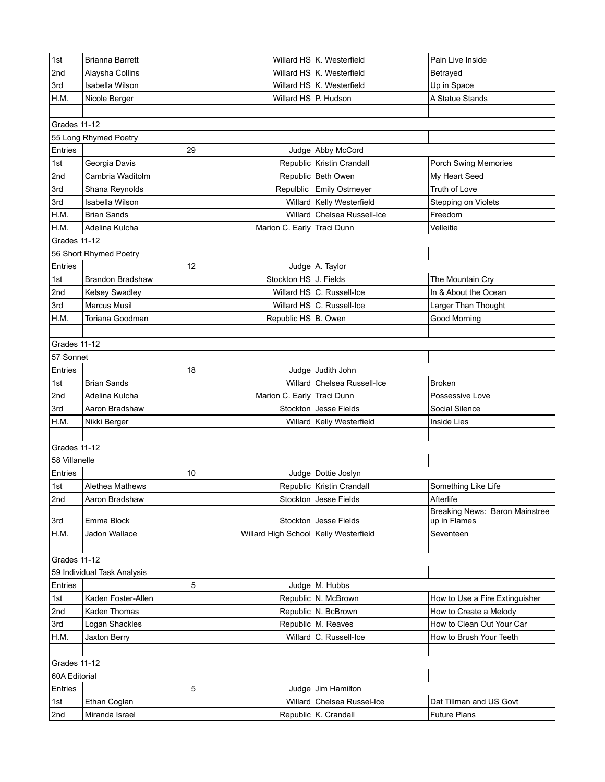| 2nd<br>Willard HS K. Westerfield<br>Alaysha Collins<br>Betrayed<br>3rd<br>Willard HS K. Westerfield<br>Isabella Wilson<br>Up in Space<br>H.M.<br>Willard HS P. Hudson<br>A Statue Stands<br>Nicole Berger<br>Grades 11-12<br>55 Long Rhymed Poetry<br>Entries<br>29<br>Judge Abby McCord<br>Republic Kristin Crandall<br>Georgia Davis<br>1st<br>Porch Swing Memories<br>Republic Beth Owen<br>2nd<br>Cambria Waditolm<br>My Heart Seed<br>Repulblic Emily Ostmeyer<br>3rd<br>Shana Reynolds<br>Truth of Love<br>3rd<br>Isabella Wilson<br>Willard   Kelly Westerfield<br>Stepping on Violets<br>Willard Chelsea Russell-Ice<br>H.M.<br><b>Brian Sands</b><br>Freedom<br>H.M.<br>Adelina Kulcha<br>Marion C. Early Traci Dunn<br>Velleitie<br>Grades 11-12<br>56 Short Rhymed Poetry<br>12<br>Judge A. Taylor<br>Entries<br>Stockton HS J. Fields<br>1st<br>Brandon Bradshaw<br>The Mountain Cry<br>2nd<br>Willard HS C. Russell-Ice<br>In & About the Ocean<br>Kelsey Swadley<br>Marcus Musil<br>3rd<br>Willard HS C. Russell-Ice<br>Larger Than Thought<br>Republic HS B. Owen<br>Good Morning<br>H.M.<br>Toriana Goodman<br>Grades 11-12<br>57 Sonnet<br>Entries<br>18<br>Judge Judith John<br>Willard Chelsea Russell-Ice<br><b>Brian Sands</b><br><b>Broken</b><br>1st<br>2nd<br>Marion C. Early Traci Dunn<br>Adelina Kulcha<br>Possessive Love<br><b>Jesse Fields</b><br>3rd<br>Aaron Bradshaw<br>Stockton<br>Social Silence<br>H.M.<br>Nikki Berger<br>Willard   Kelly Westerfield<br>Inside Lies<br>Grades 11-12<br>58 Villanelle<br>10<br>Entries<br>Judge   Dottie Joslyn<br>Republic Kristin Crandall<br>Something Like Life<br>1st<br><b>Alethea Mathews</b><br>2nd<br>Aaron Bradshaw<br>Stockton   Jesse Fields<br>Afterlife<br>Breaking News: Baron Mainstree<br>Stockton Jesse Fields<br>up in Flames<br>3rd<br>Emma Block<br>H.M.<br>Willard High School Kelly Westerfield<br>Jadon Wallace<br>Seventeen<br>Grades 11-12<br>59 Individual Task Analysis<br>5<br>Entries<br>Judge M. Hubbs<br>Republic N. McBrown<br>Kaden Foster-Allen<br>1st<br>How to Use a Fire Extinguisher<br>Republic N. BcBrown<br>2nd<br><b>Kaden Thomas</b><br>How to Create a Melody<br>3rd<br>Logan Shackles<br>Republic M. Reaves<br>How to Clean Out Your Car<br>Willard C. Russell-Ice<br>H.M.<br>Jaxton Berry<br>How to Brush Your Teeth<br>Grades 11-12<br>60A Editorial<br>5<br>Entries<br>Jim Hamilton<br>Judge  <br>Willard Chelsea Russel-Ice<br>1st<br>Ethan Coglan<br>Dat Tillman and US Govt<br>Republic K. Crandall<br><b>Future Plans</b><br>2nd<br>Miranda Israel | 1st | <b>Brianna Barrett</b> |  | Willard HS K. Westerfield | Pain Live Inside |  |  |
|------------------------------------------------------------------------------------------------------------------------------------------------------------------------------------------------------------------------------------------------------------------------------------------------------------------------------------------------------------------------------------------------------------------------------------------------------------------------------------------------------------------------------------------------------------------------------------------------------------------------------------------------------------------------------------------------------------------------------------------------------------------------------------------------------------------------------------------------------------------------------------------------------------------------------------------------------------------------------------------------------------------------------------------------------------------------------------------------------------------------------------------------------------------------------------------------------------------------------------------------------------------------------------------------------------------------------------------------------------------------------------------------------------------------------------------------------------------------------------------------------------------------------------------------------------------------------------------------------------------------------------------------------------------------------------------------------------------------------------------------------------------------------------------------------------------------------------------------------------------------------------------------------------------------------------------------------------------------------------------------------------------------------------------------------------------------------------------------------------------------------------------------------------------------------------------------------------------------------------------------------------------------------------------------------------------------------------------------------------------------------------------------------------------------------------------------------------------------------------------------------------------------------------------------------------------------------|-----|------------------------|--|---------------------------|------------------|--|--|
|                                                                                                                                                                                                                                                                                                                                                                                                                                                                                                                                                                                                                                                                                                                                                                                                                                                                                                                                                                                                                                                                                                                                                                                                                                                                                                                                                                                                                                                                                                                                                                                                                                                                                                                                                                                                                                                                                                                                                                                                                                                                                                                                                                                                                                                                                                                                                                                                                                                                                                                                                                              |     |                        |  |                           |                  |  |  |
|                                                                                                                                                                                                                                                                                                                                                                                                                                                                                                                                                                                                                                                                                                                                                                                                                                                                                                                                                                                                                                                                                                                                                                                                                                                                                                                                                                                                                                                                                                                                                                                                                                                                                                                                                                                                                                                                                                                                                                                                                                                                                                                                                                                                                                                                                                                                                                                                                                                                                                                                                                              |     |                        |  |                           |                  |  |  |
|                                                                                                                                                                                                                                                                                                                                                                                                                                                                                                                                                                                                                                                                                                                                                                                                                                                                                                                                                                                                                                                                                                                                                                                                                                                                                                                                                                                                                                                                                                                                                                                                                                                                                                                                                                                                                                                                                                                                                                                                                                                                                                                                                                                                                                                                                                                                                                                                                                                                                                                                                                              |     |                        |  |                           |                  |  |  |
|                                                                                                                                                                                                                                                                                                                                                                                                                                                                                                                                                                                                                                                                                                                                                                                                                                                                                                                                                                                                                                                                                                                                                                                                                                                                                                                                                                                                                                                                                                                                                                                                                                                                                                                                                                                                                                                                                                                                                                                                                                                                                                                                                                                                                                                                                                                                                                                                                                                                                                                                                                              |     |                        |  |                           |                  |  |  |
|                                                                                                                                                                                                                                                                                                                                                                                                                                                                                                                                                                                                                                                                                                                                                                                                                                                                                                                                                                                                                                                                                                                                                                                                                                                                                                                                                                                                                                                                                                                                                                                                                                                                                                                                                                                                                                                                                                                                                                                                                                                                                                                                                                                                                                                                                                                                                                                                                                                                                                                                                                              |     |                        |  |                           |                  |  |  |
|                                                                                                                                                                                                                                                                                                                                                                                                                                                                                                                                                                                                                                                                                                                                                                                                                                                                                                                                                                                                                                                                                                                                                                                                                                                                                                                                                                                                                                                                                                                                                                                                                                                                                                                                                                                                                                                                                                                                                                                                                                                                                                                                                                                                                                                                                                                                                                                                                                                                                                                                                                              |     |                        |  |                           |                  |  |  |
|                                                                                                                                                                                                                                                                                                                                                                                                                                                                                                                                                                                                                                                                                                                                                                                                                                                                                                                                                                                                                                                                                                                                                                                                                                                                                                                                                                                                                                                                                                                                                                                                                                                                                                                                                                                                                                                                                                                                                                                                                                                                                                                                                                                                                                                                                                                                                                                                                                                                                                                                                                              |     |                        |  |                           |                  |  |  |
|                                                                                                                                                                                                                                                                                                                                                                                                                                                                                                                                                                                                                                                                                                                                                                                                                                                                                                                                                                                                                                                                                                                                                                                                                                                                                                                                                                                                                                                                                                                                                                                                                                                                                                                                                                                                                                                                                                                                                                                                                                                                                                                                                                                                                                                                                                                                                                                                                                                                                                                                                                              |     |                        |  |                           |                  |  |  |
|                                                                                                                                                                                                                                                                                                                                                                                                                                                                                                                                                                                                                                                                                                                                                                                                                                                                                                                                                                                                                                                                                                                                                                                                                                                                                                                                                                                                                                                                                                                                                                                                                                                                                                                                                                                                                                                                                                                                                                                                                                                                                                                                                                                                                                                                                                                                                                                                                                                                                                                                                                              |     |                        |  |                           |                  |  |  |
|                                                                                                                                                                                                                                                                                                                                                                                                                                                                                                                                                                                                                                                                                                                                                                                                                                                                                                                                                                                                                                                                                                                                                                                                                                                                                                                                                                                                                                                                                                                                                                                                                                                                                                                                                                                                                                                                                                                                                                                                                                                                                                                                                                                                                                                                                                                                                                                                                                                                                                                                                                              |     |                        |  |                           |                  |  |  |
|                                                                                                                                                                                                                                                                                                                                                                                                                                                                                                                                                                                                                                                                                                                                                                                                                                                                                                                                                                                                                                                                                                                                                                                                                                                                                                                                                                                                                                                                                                                                                                                                                                                                                                                                                                                                                                                                                                                                                                                                                                                                                                                                                                                                                                                                                                                                                                                                                                                                                                                                                                              |     |                        |  |                           |                  |  |  |
|                                                                                                                                                                                                                                                                                                                                                                                                                                                                                                                                                                                                                                                                                                                                                                                                                                                                                                                                                                                                                                                                                                                                                                                                                                                                                                                                                                                                                                                                                                                                                                                                                                                                                                                                                                                                                                                                                                                                                                                                                                                                                                                                                                                                                                                                                                                                                                                                                                                                                                                                                                              |     |                        |  |                           |                  |  |  |
|                                                                                                                                                                                                                                                                                                                                                                                                                                                                                                                                                                                                                                                                                                                                                                                                                                                                                                                                                                                                                                                                                                                                                                                                                                                                                                                                                                                                                                                                                                                                                                                                                                                                                                                                                                                                                                                                                                                                                                                                                                                                                                                                                                                                                                                                                                                                                                                                                                                                                                                                                                              |     |                        |  |                           |                  |  |  |
|                                                                                                                                                                                                                                                                                                                                                                                                                                                                                                                                                                                                                                                                                                                                                                                                                                                                                                                                                                                                                                                                                                                                                                                                                                                                                                                                                                                                                                                                                                                                                                                                                                                                                                                                                                                                                                                                                                                                                                                                                                                                                                                                                                                                                                                                                                                                                                                                                                                                                                                                                                              |     |                        |  |                           |                  |  |  |
|                                                                                                                                                                                                                                                                                                                                                                                                                                                                                                                                                                                                                                                                                                                                                                                                                                                                                                                                                                                                                                                                                                                                                                                                                                                                                                                                                                                                                                                                                                                                                                                                                                                                                                                                                                                                                                                                                                                                                                                                                                                                                                                                                                                                                                                                                                                                                                                                                                                                                                                                                                              |     |                        |  |                           |                  |  |  |
|                                                                                                                                                                                                                                                                                                                                                                                                                                                                                                                                                                                                                                                                                                                                                                                                                                                                                                                                                                                                                                                                                                                                                                                                                                                                                                                                                                                                                                                                                                                                                                                                                                                                                                                                                                                                                                                                                                                                                                                                                                                                                                                                                                                                                                                                                                                                                                                                                                                                                                                                                                              |     |                        |  |                           |                  |  |  |
|                                                                                                                                                                                                                                                                                                                                                                                                                                                                                                                                                                                                                                                                                                                                                                                                                                                                                                                                                                                                                                                                                                                                                                                                                                                                                                                                                                                                                                                                                                                                                                                                                                                                                                                                                                                                                                                                                                                                                                                                                                                                                                                                                                                                                                                                                                                                                                                                                                                                                                                                                                              |     |                        |  |                           |                  |  |  |
|                                                                                                                                                                                                                                                                                                                                                                                                                                                                                                                                                                                                                                                                                                                                                                                                                                                                                                                                                                                                                                                                                                                                                                                                                                                                                                                                                                                                                                                                                                                                                                                                                                                                                                                                                                                                                                                                                                                                                                                                                                                                                                                                                                                                                                                                                                                                                                                                                                                                                                                                                                              |     |                        |  |                           |                  |  |  |
|                                                                                                                                                                                                                                                                                                                                                                                                                                                                                                                                                                                                                                                                                                                                                                                                                                                                                                                                                                                                                                                                                                                                                                                                                                                                                                                                                                                                                                                                                                                                                                                                                                                                                                                                                                                                                                                                                                                                                                                                                                                                                                                                                                                                                                                                                                                                                                                                                                                                                                                                                                              |     |                        |  |                           |                  |  |  |
|                                                                                                                                                                                                                                                                                                                                                                                                                                                                                                                                                                                                                                                                                                                                                                                                                                                                                                                                                                                                                                                                                                                                                                                                                                                                                                                                                                                                                                                                                                                                                                                                                                                                                                                                                                                                                                                                                                                                                                                                                                                                                                                                                                                                                                                                                                                                                                                                                                                                                                                                                                              |     |                        |  |                           |                  |  |  |
|                                                                                                                                                                                                                                                                                                                                                                                                                                                                                                                                                                                                                                                                                                                                                                                                                                                                                                                                                                                                                                                                                                                                                                                                                                                                                                                                                                                                                                                                                                                                                                                                                                                                                                                                                                                                                                                                                                                                                                                                                                                                                                                                                                                                                                                                                                                                                                                                                                                                                                                                                                              |     |                        |  |                           |                  |  |  |
|                                                                                                                                                                                                                                                                                                                                                                                                                                                                                                                                                                                                                                                                                                                                                                                                                                                                                                                                                                                                                                                                                                                                                                                                                                                                                                                                                                                                                                                                                                                                                                                                                                                                                                                                                                                                                                                                                                                                                                                                                                                                                                                                                                                                                                                                                                                                                                                                                                                                                                                                                                              |     |                        |  |                           |                  |  |  |
|                                                                                                                                                                                                                                                                                                                                                                                                                                                                                                                                                                                                                                                                                                                                                                                                                                                                                                                                                                                                                                                                                                                                                                                                                                                                                                                                                                                                                                                                                                                                                                                                                                                                                                                                                                                                                                                                                                                                                                                                                                                                                                                                                                                                                                                                                                                                                                                                                                                                                                                                                                              |     |                        |  |                           |                  |  |  |
|                                                                                                                                                                                                                                                                                                                                                                                                                                                                                                                                                                                                                                                                                                                                                                                                                                                                                                                                                                                                                                                                                                                                                                                                                                                                                                                                                                                                                                                                                                                                                                                                                                                                                                                                                                                                                                                                                                                                                                                                                                                                                                                                                                                                                                                                                                                                                                                                                                                                                                                                                                              |     |                        |  |                           |                  |  |  |
|                                                                                                                                                                                                                                                                                                                                                                                                                                                                                                                                                                                                                                                                                                                                                                                                                                                                                                                                                                                                                                                                                                                                                                                                                                                                                                                                                                                                                                                                                                                                                                                                                                                                                                                                                                                                                                                                                                                                                                                                                                                                                                                                                                                                                                                                                                                                                                                                                                                                                                                                                                              |     |                        |  |                           |                  |  |  |
|                                                                                                                                                                                                                                                                                                                                                                                                                                                                                                                                                                                                                                                                                                                                                                                                                                                                                                                                                                                                                                                                                                                                                                                                                                                                                                                                                                                                                                                                                                                                                                                                                                                                                                                                                                                                                                                                                                                                                                                                                                                                                                                                                                                                                                                                                                                                                                                                                                                                                                                                                                              |     |                        |  |                           |                  |  |  |
|                                                                                                                                                                                                                                                                                                                                                                                                                                                                                                                                                                                                                                                                                                                                                                                                                                                                                                                                                                                                                                                                                                                                                                                                                                                                                                                                                                                                                                                                                                                                                                                                                                                                                                                                                                                                                                                                                                                                                                                                                                                                                                                                                                                                                                                                                                                                                                                                                                                                                                                                                                              |     |                        |  |                           |                  |  |  |
|                                                                                                                                                                                                                                                                                                                                                                                                                                                                                                                                                                                                                                                                                                                                                                                                                                                                                                                                                                                                                                                                                                                                                                                                                                                                                                                                                                                                                                                                                                                                                                                                                                                                                                                                                                                                                                                                                                                                                                                                                                                                                                                                                                                                                                                                                                                                                                                                                                                                                                                                                                              |     |                        |  |                           |                  |  |  |
|                                                                                                                                                                                                                                                                                                                                                                                                                                                                                                                                                                                                                                                                                                                                                                                                                                                                                                                                                                                                                                                                                                                                                                                                                                                                                                                                                                                                                                                                                                                                                                                                                                                                                                                                                                                                                                                                                                                                                                                                                                                                                                                                                                                                                                                                                                                                                                                                                                                                                                                                                                              |     |                        |  |                           |                  |  |  |
|                                                                                                                                                                                                                                                                                                                                                                                                                                                                                                                                                                                                                                                                                                                                                                                                                                                                                                                                                                                                                                                                                                                                                                                                                                                                                                                                                                                                                                                                                                                                                                                                                                                                                                                                                                                                                                                                                                                                                                                                                                                                                                                                                                                                                                                                                                                                                                                                                                                                                                                                                                              |     |                        |  |                           |                  |  |  |
|                                                                                                                                                                                                                                                                                                                                                                                                                                                                                                                                                                                                                                                                                                                                                                                                                                                                                                                                                                                                                                                                                                                                                                                                                                                                                                                                                                                                                                                                                                                                                                                                                                                                                                                                                                                                                                                                                                                                                                                                                                                                                                                                                                                                                                                                                                                                                                                                                                                                                                                                                                              |     |                        |  |                           |                  |  |  |
|                                                                                                                                                                                                                                                                                                                                                                                                                                                                                                                                                                                                                                                                                                                                                                                                                                                                                                                                                                                                                                                                                                                                                                                                                                                                                                                                                                                                                                                                                                                                                                                                                                                                                                                                                                                                                                                                                                                                                                                                                                                                                                                                                                                                                                                                                                                                                                                                                                                                                                                                                                              |     |                        |  |                           |                  |  |  |
|                                                                                                                                                                                                                                                                                                                                                                                                                                                                                                                                                                                                                                                                                                                                                                                                                                                                                                                                                                                                                                                                                                                                                                                                                                                                                                                                                                                                                                                                                                                                                                                                                                                                                                                                                                                                                                                                                                                                                                                                                                                                                                                                                                                                                                                                                                                                                                                                                                                                                                                                                                              |     |                        |  |                           |                  |  |  |
|                                                                                                                                                                                                                                                                                                                                                                                                                                                                                                                                                                                                                                                                                                                                                                                                                                                                                                                                                                                                                                                                                                                                                                                                                                                                                                                                                                                                                                                                                                                                                                                                                                                                                                                                                                                                                                                                                                                                                                                                                                                                                                                                                                                                                                                                                                                                                                                                                                                                                                                                                                              |     |                        |  |                           |                  |  |  |
|                                                                                                                                                                                                                                                                                                                                                                                                                                                                                                                                                                                                                                                                                                                                                                                                                                                                                                                                                                                                                                                                                                                                                                                                                                                                                                                                                                                                                                                                                                                                                                                                                                                                                                                                                                                                                                                                                                                                                                                                                                                                                                                                                                                                                                                                                                                                                                                                                                                                                                                                                                              |     |                        |  |                           |                  |  |  |
|                                                                                                                                                                                                                                                                                                                                                                                                                                                                                                                                                                                                                                                                                                                                                                                                                                                                                                                                                                                                                                                                                                                                                                                                                                                                                                                                                                                                                                                                                                                                                                                                                                                                                                                                                                                                                                                                                                                                                                                                                                                                                                                                                                                                                                                                                                                                                                                                                                                                                                                                                                              |     |                        |  |                           |                  |  |  |
|                                                                                                                                                                                                                                                                                                                                                                                                                                                                                                                                                                                                                                                                                                                                                                                                                                                                                                                                                                                                                                                                                                                                                                                                                                                                                                                                                                                                                                                                                                                                                                                                                                                                                                                                                                                                                                                                                                                                                                                                                                                                                                                                                                                                                                                                                                                                                                                                                                                                                                                                                                              |     |                        |  |                           |                  |  |  |
|                                                                                                                                                                                                                                                                                                                                                                                                                                                                                                                                                                                                                                                                                                                                                                                                                                                                                                                                                                                                                                                                                                                                                                                                                                                                                                                                                                                                                                                                                                                                                                                                                                                                                                                                                                                                                                                                                                                                                                                                                                                                                                                                                                                                                                                                                                                                                                                                                                                                                                                                                                              |     |                        |  |                           |                  |  |  |
|                                                                                                                                                                                                                                                                                                                                                                                                                                                                                                                                                                                                                                                                                                                                                                                                                                                                                                                                                                                                                                                                                                                                                                                                                                                                                                                                                                                                                                                                                                                                                                                                                                                                                                                                                                                                                                                                                                                                                                                                                                                                                                                                                                                                                                                                                                                                                                                                                                                                                                                                                                              |     |                        |  |                           |                  |  |  |
|                                                                                                                                                                                                                                                                                                                                                                                                                                                                                                                                                                                                                                                                                                                                                                                                                                                                                                                                                                                                                                                                                                                                                                                                                                                                                                                                                                                                                                                                                                                                                                                                                                                                                                                                                                                                                                                                                                                                                                                                                                                                                                                                                                                                                                                                                                                                                                                                                                                                                                                                                                              |     |                        |  |                           |                  |  |  |
|                                                                                                                                                                                                                                                                                                                                                                                                                                                                                                                                                                                                                                                                                                                                                                                                                                                                                                                                                                                                                                                                                                                                                                                                                                                                                                                                                                                                                                                                                                                                                                                                                                                                                                                                                                                                                                                                                                                                                                                                                                                                                                                                                                                                                                                                                                                                                                                                                                                                                                                                                                              |     |                        |  |                           |                  |  |  |
|                                                                                                                                                                                                                                                                                                                                                                                                                                                                                                                                                                                                                                                                                                                                                                                                                                                                                                                                                                                                                                                                                                                                                                                                                                                                                                                                                                                                                                                                                                                                                                                                                                                                                                                                                                                                                                                                                                                                                                                                                                                                                                                                                                                                                                                                                                                                                                                                                                                                                                                                                                              |     |                        |  |                           |                  |  |  |
|                                                                                                                                                                                                                                                                                                                                                                                                                                                                                                                                                                                                                                                                                                                                                                                                                                                                                                                                                                                                                                                                                                                                                                                                                                                                                                                                                                                                                                                                                                                                                                                                                                                                                                                                                                                                                                                                                                                                                                                                                                                                                                                                                                                                                                                                                                                                                                                                                                                                                                                                                                              |     |                        |  |                           |                  |  |  |
|                                                                                                                                                                                                                                                                                                                                                                                                                                                                                                                                                                                                                                                                                                                                                                                                                                                                                                                                                                                                                                                                                                                                                                                                                                                                                                                                                                                                                                                                                                                                                                                                                                                                                                                                                                                                                                                                                                                                                                                                                                                                                                                                                                                                                                                                                                                                                                                                                                                                                                                                                                              |     |                        |  |                           |                  |  |  |
|                                                                                                                                                                                                                                                                                                                                                                                                                                                                                                                                                                                                                                                                                                                                                                                                                                                                                                                                                                                                                                                                                                                                                                                                                                                                                                                                                                                                                                                                                                                                                                                                                                                                                                                                                                                                                                                                                                                                                                                                                                                                                                                                                                                                                                                                                                                                                                                                                                                                                                                                                                              |     |                        |  |                           |                  |  |  |
|                                                                                                                                                                                                                                                                                                                                                                                                                                                                                                                                                                                                                                                                                                                                                                                                                                                                                                                                                                                                                                                                                                                                                                                                                                                                                                                                                                                                                                                                                                                                                                                                                                                                                                                                                                                                                                                                                                                                                                                                                                                                                                                                                                                                                                                                                                                                                                                                                                                                                                                                                                              |     |                        |  |                           |                  |  |  |
|                                                                                                                                                                                                                                                                                                                                                                                                                                                                                                                                                                                                                                                                                                                                                                                                                                                                                                                                                                                                                                                                                                                                                                                                                                                                                                                                                                                                                                                                                                                                                                                                                                                                                                                                                                                                                                                                                                                                                                                                                                                                                                                                                                                                                                                                                                                                                                                                                                                                                                                                                                              |     |                        |  |                           |                  |  |  |
|                                                                                                                                                                                                                                                                                                                                                                                                                                                                                                                                                                                                                                                                                                                                                                                                                                                                                                                                                                                                                                                                                                                                                                                                                                                                                                                                                                                                                                                                                                                                                                                                                                                                                                                                                                                                                                                                                                                                                                                                                                                                                                                                                                                                                                                                                                                                                                                                                                                                                                                                                                              |     |                        |  |                           |                  |  |  |
|                                                                                                                                                                                                                                                                                                                                                                                                                                                                                                                                                                                                                                                                                                                                                                                                                                                                                                                                                                                                                                                                                                                                                                                                                                                                                                                                                                                                                                                                                                                                                                                                                                                                                                                                                                                                                                                                                                                                                                                                                                                                                                                                                                                                                                                                                                                                                                                                                                                                                                                                                                              |     |                        |  |                           |                  |  |  |
|                                                                                                                                                                                                                                                                                                                                                                                                                                                                                                                                                                                                                                                                                                                                                                                                                                                                                                                                                                                                                                                                                                                                                                                                                                                                                                                                                                                                                                                                                                                                                                                                                                                                                                                                                                                                                                                                                                                                                                                                                                                                                                                                                                                                                                                                                                                                                                                                                                                                                                                                                                              |     |                        |  |                           |                  |  |  |
|                                                                                                                                                                                                                                                                                                                                                                                                                                                                                                                                                                                                                                                                                                                                                                                                                                                                                                                                                                                                                                                                                                                                                                                                                                                                                                                                                                                                                                                                                                                                                                                                                                                                                                                                                                                                                                                                                                                                                                                                                                                                                                                                                                                                                                                                                                                                                                                                                                                                                                                                                                              |     |                        |  |                           |                  |  |  |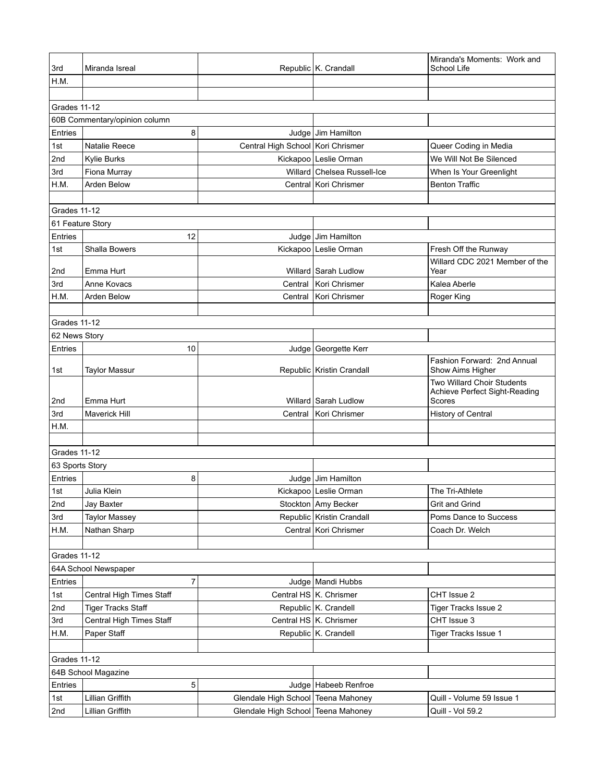| H.M.<br>Grades 11-12<br>60B Commentary/opinion column<br>8<br>Entries<br>Judge Jim Hamilton<br>Central High School Kori Chrismer<br>Natalie Reece<br>1st<br>Queer Coding in Media<br>2nd<br>Kickapoo Leslie Orman<br>We Will Not Be Silenced<br>Kylie Burks<br>Fiona Murray<br>Willard Chelsea Russell-Ice<br>When Is Your Greenlight<br>3rd<br>H.M.<br>Arden Below<br>Central Kori Chrismer<br><b>Benton Traffic</b><br>Grades 11-12<br>61 Feature Story<br>Entries<br>12<br>Judge Jim Hamilton<br>Kickapoo Leslie Orman<br>Shalla Bowers<br>Fresh Off the Runway<br>1st<br>Willard CDC 2021 Member of the<br>2nd<br>Emma Hurt<br>Willard Sarah Ludlow<br>Year<br>3rd<br>Anne Kovacs<br>Central<br>Kori Chrismer<br>Kalea Aberle<br>H.M.<br>Arden Below<br>Kori Chrismer<br>Central<br>Roger King<br>Grades 11-12<br>62 News Story<br>Entries<br>10<br>Judge Georgette Kerr<br>Fashion Forward: 2nd Annual<br>Republic Kristin Crandall<br>Show Aims Higher<br>1st<br><b>Taylor Massur</b><br>Two Willard Choir Students<br>Achieve Perfect Sight-Reading<br>2nd<br>Willard Sarah Ludlow<br>Scores<br>Emma Hurt<br>3rd<br><b>Maverick Hill</b><br>Kori Chrismer<br><b>History of Central</b><br>Central<br>H.M.<br>Grades 11-12<br>63 Sports Story<br>8<br>Entries<br>Judge Jim Hamilton<br>Kickapoo Leslie Orman<br>Julia Klein<br>The Tri-Athlete<br>1st<br>2nd<br>Stockton Amy Becker<br>Grit and Grind<br>Jay Baxter<br>Republic Kristin Crandall<br>3rd<br><b>Taylor Massey</b><br>Poms Dance to Success<br>Central Kori Chrismer<br>H.M.<br>Nathan Sharp<br>Coach Dr. Welch<br><b>Grades 11-12</b><br>64A School Newspaper<br>7<br>Entries<br>Judge   Mandi Hubbs<br>1st<br>Central HS   K. Chrismer<br>Central High Times Staff<br>CHT Issue 2<br>Republic K. Crandell<br>2nd<br><b>Tiger Tracks Staff</b><br>Tiger Tracks Issue 2<br>Central HS K. Chrismer<br>CHT Issue 3<br>3rd<br>Central High Times Staff<br>Paper Staff<br>Republic K. Crandell<br>H.M.<br>Tiger Tracks Issue 1<br><b>Grades 11-12</b><br>64B School Magazine<br>5<br>Entries<br>Judge Habeeb Renfroe<br>Lillian Griffith<br>1st<br>Glendale High School Teena Mahoney<br>Quill - Volume 59 Issue 1<br>Glendale High School Teena Mahoney<br>Quill - Vol 59.2<br>2nd<br>Lillian Griffith | 3rd | Miranda Isreal |  | Republic K. Crandall | Miranda's Moments: Work and<br>School Life |  |
|------------------------------------------------------------------------------------------------------------------------------------------------------------------------------------------------------------------------------------------------------------------------------------------------------------------------------------------------------------------------------------------------------------------------------------------------------------------------------------------------------------------------------------------------------------------------------------------------------------------------------------------------------------------------------------------------------------------------------------------------------------------------------------------------------------------------------------------------------------------------------------------------------------------------------------------------------------------------------------------------------------------------------------------------------------------------------------------------------------------------------------------------------------------------------------------------------------------------------------------------------------------------------------------------------------------------------------------------------------------------------------------------------------------------------------------------------------------------------------------------------------------------------------------------------------------------------------------------------------------------------------------------------------------------------------------------------------------------------------------------------------------------------------------------------------------------------------------------------------------------------------------------------------------------------------------------------------------------------------------------------------------------------------------------------------------------------------------------------------------------------------------------------------------------------------------------------------------------------------------------------------------------|-----|----------------|--|----------------------|--------------------------------------------|--|
|                                                                                                                                                                                                                                                                                                                                                                                                                                                                                                                                                                                                                                                                                                                                                                                                                                                                                                                                                                                                                                                                                                                                                                                                                                                                                                                                                                                                                                                                                                                                                                                                                                                                                                                                                                                                                                                                                                                                                                                                                                                                                                                                                                                                                                                                        |     |                |  |                      |                                            |  |
|                                                                                                                                                                                                                                                                                                                                                                                                                                                                                                                                                                                                                                                                                                                                                                                                                                                                                                                                                                                                                                                                                                                                                                                                                                                                                                                                                                                                                                                                                                                                                                                                                                                                                                                                                                                                                                                                                                                                                                                                                                                                                                                                                                                                                                                                        |     |                |  |                      |                                            |  |
|                                                                                                                                                                                                                                                                                                                                                                                                                                                                                                                                                                                                                                                                                                                                                                                                                                                                                                                                                                                                                                                                                                                                                                                                                                                                                                                                                                                                                                                                                                                                                                                                                                                                                                                                                                                                                                                                                                                                                                                                                                                                                                                                                                                                                                                                        |     |                |  |                      |                                            |  |
|                                                                                                                                                                                                                                                                                                                                                                                                                                                                                                                                                                                                                                                                                                                                                                                                                                                                                                                                                                                                                                                                                                                                                                                                                                                                                                                                                                                                                                                                                                                                                                                                                                                                                                                                                                                                                                                                                                                                                                                                                                                                                                                                                                                                                                                                        |     |                |  |                      |                                            |  |
|                                                                                                                                                                                                                                                                                                                                                                                                                                                                                                                                                                                                                                                                                                                                                                                                                                                                                                                                                                                                                                                                                                                                                                                                                                                                                                                                                                                                                                                                                                                                                                                                                                                                                                                                                                                                                                                                                                                                                                                                                                                                                                                                                                                                                                                                        |     |                |  |                      |                                            |  |
|                                                                                                                                                                                                                                                                                                                                                                                                                                                                                                                                                                                                                                                                                                                                                                                                                                                                                                                                                                                                                                                                                                                                                                                                                                                                                                                                                                                                                                                                                                                                                                                                                                                                                                                                                                                                                                                                                                                                                                                                                                                                                                                                                                                                                                                                        |     |                |  |                      |                                            |  |
|                                                                                                                                                                                                                                                                                                                                                                                                                                                                                                                                                                                                                                                                                                                                                                                                                                                                                                                                                                                                                                                                                                                                                                                                                                                                                                                                                                                                                                                                                                                                                                                                                                                                                                                                                                                                                                                                                                                                                                                                                                                                                                                                                                                                                                                                        |     |                |  |                      |                                            |  |
|                                                                                                                                                                                                                                                                                                                                                                                                                                                                                                                                                                                                                                                                                                                                                                                                                                                                                                                                                                                                                                                                                                                                                                                                                                                                                                                                                                                                                                                                                                                                                                                                                                                                                                                                                                                                                                                                                                                                                                                                                                                                                                                                                                                                                                                                        |     |                |  |                      |                                            |  |
|                                                                                                                                                                                                                                                                                                                                                                                                                                                                                                                                                                                                                                                                                                                                                                                                                                                                                                                                                                                                                                                                                                                                                                                                                                                                                                                                                                                                                                                                                                                                                                                                                                                                                                                                                                                                                                                                                                                                                                                                                                                                                                                                                                                                                                                                        |     |                |  |                      |                                            |  |
|                                                                                                                                                                                                                                                                                                                                                                                                                                                                                                                                                                                                                                                                                                                                                                                                                                                                                                                                                                                                                                                                                                                                                                                                                                                                                                                                                                                                                                                                                                                                                                                                                                                                                                                                                                                                                                                                                                                                                                                                                                                                                                                                                                                                                                                                        |     |                |  |                      |                                            |  |
|                                                                                                                                                                                                                                                                                                                                                                                                                                                                                                                                                                                                                                                                                                                                                                                                                                                                                                                                                                                                                                                                                                                                                                                                                                                                                                                                                                                                                                                                                                                                                                                                                                                                                                                                                                                                                                                                                                                                                                                                                                                                                                                                                                                                                                                                        |     |                |  |                      |                                            |  |
|                                                                                                                                                                                                                                                                                                                                                                                                                                                                                                                                                                                                                                                                                                                                                                                                                                                                                                                                                                                                                                                                                                                                                                                                                                                                                                                                                                                                                                                                                                                                                                                                                                                                                                                                                                                                                                                                                                                                                                                                                                                                                                                                                                                                                                                                        |     |                |  |                      |                                            |  |
|                                                                                                                                                                                                                                                                                                                                                                                                                                                                                                                                                                                                                                                                                                                                                                                                                                                                                                                                                                                                                                                                                                                                                                                                                                                                                                                                                                                                                                                                                                                                                                                                                                                                                                                                                                                                                                                                                                                                                                                                                                                                                                                                                                                                                                                                        |     |                |  |                      |                                            |  |
|                                                                                                                                                                                                                                                                                                                                                                                                                                                                                                                                                                                                                                                                                                                                                                                                                                                                                                                                                                                                                                                                                                                                                                                                                                                                                                                                                                                                                                                                                                                                                                                                                                                                                                                                                                                                                                                                                                                                                                                                                                                                                                                                                                                                                                                                        |     |                |  |                      |                                            |  |
|                                                                                                                                                                                                                                                                                                                                                                                                                                                                                                                                                                                                                                                                                                                                                                                                                                                                                                                                                                                                                                                                                                                                                                                                                                                                                                                                                                                                                                                                                                                                                                                                                                                                                                                                                                                                                                                                                                                                                                                                                                                                                                                                                                                                                                                                        |     |                |  |                      |                                            |  |
|                                                                                                                                                                                                                                                                                                                                                                                                                                                                                                                                                                                                                                                                                                                                                                                                                                                                                                                                                                                                                                                                                                                                                                                                                                                                                                                                                                                                                                                                                                                                                                                                                                                                                                                                                                                                                                                                                                                                                                                                                                                                                                                                                                                                                                                                        |     |                |  |                      |                                            |  |
|                                                                                                                                                                                                                                                                                                                                                                                                                                                                                                                                                                                                                                                                                                                                                                                                                                                                                                                                                                                                                                                                                                                                                                                                                                                                                                                                                                                                                                                                                                                                                                                                                                                                                                                                                                                                                                                                                                                                                                                                                                                                                                                                                                                                                                                                        |     |                |  |                      |                                            |  |
|                                                                                                                                                                                                                                                                                                                                                                                                                                                                                                                                                                                                                                                                                                                                                                                                                                                                                                                                                                                                                                                                                                                                                                                                                                                                                                                                                                                                                                                                                                                                                                                                                                                                                                                                                                                                                                                                                                                                                                                                                                                                                                                                                                                                                                                                        |     |                |  |                      |                                            |  |
|                                                                                                                                                                                                                                                                                                                                                                                                                                                                                                                                                                                                                                                                                                                                                                                                                                                                                                                                                                                                                                                                                                                                                                                                                                                                                                                                                                                                                                                                                                                                                                                                                                                                                                                                                                                                                                                                                                                                                                                                                                                                                                                                                                                                                                                                        |     |                |  |                      |                                            |  |
|                                                                                                                                                                                                                                                                                                                                                                                                                                                                                                                                                                                                                                                                                                                                                                                                                                                                                                                                                                                                                                                                                                                                                                                                                                                                                                                                                                                                                                                                                                                                                                                                                                                                                                                                                                                                                                                                                                                                                                                                                                                                                                                                                                                                                                                                        |     |                |  |                      |                                            |  |
|                                                                                                                                                                                                                                                                                                                                                                                                                                                                                                                                                                                                                                                                                                                                                                                                                                                                                                                                                                                                                                                                                                                                                                                                                                                                                                                                                                                                                                                                                                                                                                                                                                                                                                                                                                                                                                                                                                                                                                                                                                                                                                                                                                                                                                                                        |     |                |  |                      |                                            |  |
|                                                                                                                                                                                                                                                                                                                                                                                                                                                                                                                                                                                                                                                                                                                                                                                                                                                                                                                                                                                                                                                                                                                                                                                                                                                                                                                                                                                                                                                                                                                                                                                                                                                                                                                                                                                                                                                                                                                                                                                                                                                                                                                                                                                                                                                                        |     |                |  |                      |                                            |  |
|                                                                                                                                                                                                                                                                                                                                                                                                                                                                                                                                                                                                                                                                                                                                                                                                                                                                                                                                                                                                                                                                                                                                                                                                                                                                                                                                                                                                                                                                                                                                                                                                                                                                                                                                                                                                                                                                                                                                                                                                                                                                                                                                                                                                                                                                        |     |                |  |                      |                                            |  |
|                                                                                                                                                                                                                                                                                                                                                                                                                                                                                                                                                                                                                                                                                                                                                                                                                                                                                                                                                                                                                                                                                                                                                                                                                                                                                                                                                                                                                                                                                                                                                                                                                                                                                                                                                                                                                                                                                                                                                                                                                                                                                                                                                                                                                                                                        |     |                |  |                      |                                            |  |
|                                                                                                                                                                                                                                                                                                                                                                                                                                                                                                                                                                                                                                                                                                                                                                                                                                                                                                                                                                                                                                                                                                                                                                                                                                                                                                                                                                                                                                                                                                                                                                                                                                                                                                                                                                                                                                                                                                                                                                                                                                                                                                                                                                                                                                                                        |     |                |  |                      |                                            |  |
|                                                                                                                                                                                                                                                                                                                                                                                                                                                                                                                                                                                                                                                                                                                                                                                                                                                                                                                                                                                                                                                                                                                                                                                                                                                                                                                                                                                                                                                                                                                                                                                                                                                                                                                                                                                                                                                                                                                                                                                                                                                                                                                                                                                                                                                                        |     |                |  |                      |                                            |  |
|                                                                                                                                                                                                                                                                                                                                                                                                                                                                                                                                                                                                                                                                                                                                                                                                                                                                                                                                                                                                                                                                                                                                                                                                                                                                                                                                                                                                                                                                                                                                                                                                                                                                                                                                                                                                                                                                                                                                                                                                                                                                                                                                                                                                                                                                        |     |                |  |                      |                                            |  |
|                                                                                                                                                                                                                                                                                                                                                                                                                                                                                                                                                                                                                                                                                                                                                                                                                                                                                                                                                                                                                                                                                                                                                                                                                                                                                                                                                                                                                                                                                                                                                                                                                                                                                                                                                                                                                                                                                                                                                                                                                                                                                                                                                                                                                                                                        |     |                |  |                      |                                            |  |
|                                                                                                                                                                                                                                                                                                                                                                                                                                                                                                                                                                                                                                                                                                                                                                                                                                                                                                                                                                                                                                                                                                                                                                                                                                                                                                                                                                                                                                                                                                                                                                                                                                                                                                                                                                                                                                                                                                                                                                                                                                                                                                                                                                                                                                                                        |     |                |  |                      |                                            |  |
|                                                                                                                                                                                                                                                                                                                                                                                                                                                                                                                                                                                                                                                                                                                                                                                                                                                                                                                                                                                                                                                                                                                                                                                                                                                                                                                                                                                                                                                                                                                                                                                                                                                                                                                                                                                                                                                                                                                                                                                                                                                                                                                                                                                                                                                                        |     |                |  |                      |                                            |  |
|                                                                                                                                                                                                                                                                                                                                                                                                                                                                                                                                                                                                                                                                                                                                                                                                                                                                                                                                                                                                                                                                                                                                                                                                                                                                                                                                                                                                                                                                                                                                                                                                                                                                                                                                                                                                                                                                                                                                                                                                                                                                                                                                                                                                                                                                        |     |                |  |                      |                                            |  |
|                                                                                                                                                                                                                                                                                                                                                                                                                                                                                                                                                                                                                                                                                                                                                                                                                                                                                                                                                                                                                                                                                                                                                                                                                                                                                                                                                                                                                                                                                                                                                                                                                                                                                                                                                                                                                                                                                                                                                                                                                                                                                                                                                                                                                                                                        |     |                |  |                      |                                            |  |
|                                                                                                                                                                                                                                                                                                                                                                                                                                                                                                                                                                                                                                                                                                                                                                                                                                                                                                                                                                                                                                                                                                                                                                                                                                                                                                                                                                                                                                                                                                                                                                                                                                                                                                                                                                                                                                                                                                                                                                                                                                                                                                                                                                                                                                                                        |     |                |  |                      |                                            |  |
|                                                                                                                                                                                                                                                                                                                                                                                                                                                                                                                                                                                                                                                                                                                                                                                                                                                                                                                                                                                                                                                                                                                                                                                                                                                                                                                                                                                                                                                                                                                                                                                                                                                                                                                                                                                                                                                                                                                                                                                                                                                                                                                                                                                                                                                                        |     |                |  |                      |                                            |  |
|                                                                                                                                                                                                                                                                                                                                                                                                                                                                                                                                                                                                                                                                                                                                                                                                                                                                                                                                                                                                                                                                                                                                                                                                                                                                                                                                                                                                                                                                                                                                                                                                                                                                                                                                                                                                                                                                                                                                                                                                                                                                                                                                                                                                                                                                        |     |                |  |                      |                                            |  |
|                                                                                                                                                                                                                                                                                                                                                                                                                                                                                                                                                                                                                                                                                                                                                                                                                                                                                                                                                                                                                                                                                                                                                                                                                                                                                                                                                                                                                                                                                                                                                                                                                                                                                                                                                                                                                                                                                                                                                                                                                                                                                                                                                                                                                                                                        |     |                |  |                      |                                            |  |
|                                                                                                                                                                                                                                                                                                                                                                                                                                                                                                                                                                                                                                                                                                                                                                                                                                                                                                                                                                                                                                                                                                                                                                                                                                                                                                                                                                                                                                                                                                                                                                                                                                                                                                                                                                                                                                                                                                                                                                                                                                                                                                                                                                                                                                                                        |     |                |  |                      |                                            |  |
|                                                                                                                                                                                                                                                                                                                                                                                                                                                                                                                                                                                                                                                                                                                                                                                                                                                                                                                                                                                                                                                                                                                                                                                                                                                                                                                                                                                                                                                                                                                                                                                                                                                                                                                                                                                                                                                                                                                                                                                                                                                                                                                                                                                                                                                                        |     |                |  |                      |                                            |  |
|                                                                                                                                                                                                                                                                                                                                                                                                                                                                                                                                                                                                                                                                                                                                                                                                                                                                                                                                                                                                                                                                                                                                                                                                                                                                                                                                                                                                                                                                                                                                                                                                                                                                                                                                                                                                                                                                                                                                                                                                                                                                                                                                                                                                                                                                        |     |                |  |                      |                                            |  |
|                                                                                                                                                                                                                                                                                                                                                                                                                                                                                                                                                                                                                                                                                                                                                                                                                                                                                                                                                                                                                                                                                                                                                                                                                                                                                                                                                                                                                                                                                                                                                                                                                                                                                                                                                                                                                                                                                                                                                                                                                                                                                                                                                                                                                                                                        |     |                |  |                      |                                            |  |
|                                                                                                                                                                                                                                                                                                                                                                                                                                                                                                                                                                                                                                                                                                                                                                                                                                                                                                                                                                                                                                                                                                                                                                                                                                                                                                                                                                                                                                                                                                                                                                                                                                                                                                                                                                                                                                                                                                                                                                                                                                                                                                                                                                                                                                                                        |     |                |  |                      |                                            |  |
|                                                                                                                                                                                                                                                                                                                                                                                                                                                                                                                                                                                                                                                                                                                                                                                                                                                                                                                                                                                                                                                                                                                                                                                                                                                                                                                                                                                                                                                                                                                                                                                                                                                                                                                                                                                                                                                                                                                                                                                                                                                                                                                                                                                                                                                                        |     |                |  |                      |                                            |  |
|                                                                                                                                                                                                                                                                                                                                                                                                                                                                                                                                                                                                                                                                                                                                                                                                                                                                                                                                                                                                                                                                                                                                                                                                                                                                                                                                                                                                                                                                                                                                                                                                                                                                                                                                                                                                                                                                                                                                                                                                                                                                                                                                                                                                                                                                        |     |                |  |                      |                                            |  |
|                                                                                                                                                                                                                                                                                                                                                                                                                                                                                                                                                                                                                                                                                                                                                                                                                                                                                                                                                                                                                                                                                                                                                                                                                                                                                                                                                                                                                                                                                                                                                                                                                                                                                                                                                                                                                                                                                                                                                                                                                                                                                                                                                                                                                                                                        |     |                |  |                      |                                            |  |
|                                                                                                                                                                                                                                                                                                                                                                                                                                                                                                                                                                                                                                                                                                                                                                                                                                                                                                                                                                                                                                                                                                                                                                                                                                                                                                                                                                                                                                                                                                                                                                                                                                                                                                                                                                                                                                                                                                                                                                                                                                                                                                                                                                                                                                                                        |     |                |  |                      |                                            |  |
|                                                                                                                                                                                                                                                                                                                                                                                                                                                                                                                                                                                                                                                                                                                                                                                                                                                                                                                                                                                                                                                                                                                                                                                                                                                                                                                                                                                                                                                                                                                                                                                                                                                                                                                                                                                                                                                                                                                                                                                                                                                                                                                                                                                                                                                                        |     |                |  |                      |                                            |  |
|                                                                                                                                                                                                                                                                                                                                                                                                                                                                                                                                                                                                                                                                                                                                                                                                                                                                                                                                                                                                                                                                                                                                                                                                                                                                                                                                                                                                                                                                                                                                                                                                                                                                                                                                                                                                                                                                                                                                                                                                                                                                                                                                                                                                                                                                        |     |                |  |                      |                                            |  |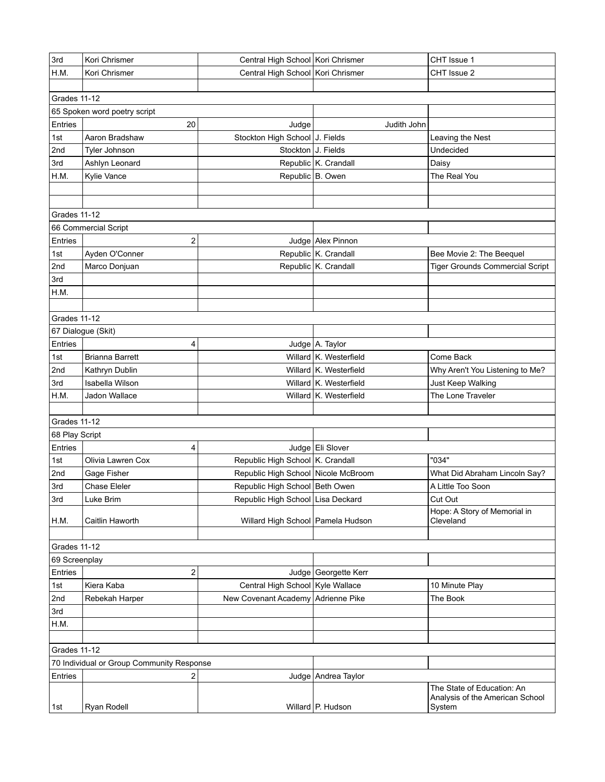| 3rd                                       | Kori Chrismer                | Central High School Kori Chrismer   |                        | CHT Issue 1                                                   |  |  |  |
|-------------------------------------------|------------------------------|-------------------------------------|------------------------|---------------------------------------------------------------|--|--|--|
| H.M.                                      | Kori Chrismer                | Central High School Kori Chrismer   |                        | CHT Issue 2                                                   |  |  |  |
|                                           |                              |                                     |                        |                                                               |  |  |  |
| Grades 11-12                              |                              |                                     |                        |                                                               |  |  |  |
|                                           | 65 Spoken word poetry script |                                     |                        |                                                               |  |  |  |
| Entries                                   | 20                           | Judge                               | Judith John            |                                                               |  |  |  |
| 1st                                       | Aaron Bradshaw               | Stockton High School J. Fields      |                        | Leaving the Nest                                              |  |  |  |
| 2nd                                       | Tyler Johnson                | Stockton J. Fields                  |                        | Undecided                                                     |  |  |  |
| 3rd                                       | Ashlyn Leonard               |                                     | Republic K. Crandall   | Daisy                                                         |  |  |  |
| H.M.                                      | Kylie Vance                  |                                     | Republic B. Owen       | The Real You                                                  |  |  |  |
|                                           |                              |                                     |                        |                                                               |  |  |  |
|                                           |                              |                                     |                        |                                                               |  |  |  |
| Grades 11-12                              |                              |                                     |                        |                                                               |  |  |  |
|                                           | 66 Commercial Script         |                                     |                        |                                                               |  |  |  |
| Entries                                   | 2                            |                                     | Judge Alex Pinnon      |                                                               |  |  |  |
| 1st                                       | Ayden O'Conner               |                                     | Republic K. Crandall   | Bee Movie 2: The Beequel                                      |  |  |  |
| 2nd                                       | Marco Donjuan                |                                     | Republic K. Crandall   | <b>Tiger Grounds Commercial Script</b>                        |  |  |  |
| 3rd                                       |                              |                                     |                        |                                                               |  |  |  |
| H.M.                                      |                              |                                     |                        |                                                               |  |  |  |
|                                           |                              |                                     |                        |                                                               |  |  |  |
| Grades 11-12                              |                              |                                     |                        |                                                               |  |  |  |
|                                           | 67 Dialogue (Skit)           |                                     |                        |                                                               |  |  |  |
| Entries                                   | 4                            |                                     | Judge A. Taylor        |                                                               |  |  |  |
| 1st                                       | <b>Brianna Barrett</b>       |                                     | Willard K. Westerfield | Come Back                                                     |  |  |  |
| 2nd                                       | Kathryn Dublin               |                                     | Willard K. Westerfield | Why Aren't You Listening to Me?                               |  |  |  |
| 3rd                                       | Isabella Wilson              |                                     | Willard K. Westerfield | Just Keep Walking                                             |  |  |  |
| H.M.                                      | Jadon Wallace                |                                     | Willard K. Westerfield | The Lone Traveler                                             |  |  |  |
|                                           |                              |                                     |                        |                                                               |  |  |  |
| Grades 11-12                              |                              |                                     |                        |                                                               |  |  |  |
| 68 Play Script                            |                              |                                     |                        |                                                               |  |  |  |
| Entries                                   | 4                            |                                     | Judge Eli Slover       |                                                               |  |  |  |
| 1st                                       | Olivia Lawren Cox            | Republic High School K. Crandall    |                        | "034"                                                         |  |  |  |
| 2nd                                       | Gage Fisher                  | Republic High School Nicole McBroom |                        | What Did Abraham Lincoln Say?                                 |  |  |  |
| 3rd                                       | <b>Chase Eleler</b>          | Republic High School Beth Owen      |                        | A Little Too Soon                                             |  |  |  |
| 3rd                                       | Luke Brim                    | Republic High School Lisa Deckard   |                        | Cut Out                                                       |  |  |  |
|                                           |                              |                                     |                        | Hope: A Story of Memorial in                                  |  |  |  |
| H.M.                                      | Caitlin Haworth              | Willard High School   Pamela Hudson |                        | Cleveland                                                     |  |  |  |
|                                           |                              |                                     |                        |                                                               |  |  |  |
| Grades 11-12                              |                              |                                     |                        |                                                               |  |  |  |
| 69 Screenplay                             |                              |                                     |                        |                                                               |  |  |  |
| Entries                                   | 2                            |                                     | Judge   Georgette Kerr |                                                               |  |  |  |
| 1st                                       | Kiera Kaba                   | Central High School Kyle Wallace    |                        | 10 Minute Play                                                |  |  |  |
| 2nd                                       | Rebekah Harper               | New Covenant Academy Adrienne Pike  |                        | The Book                                                      |  |  |  |
| 3rd                                       |                              |                                     |                        |                                                               |  |  |  |
| H.M.                                      |                              |                                     |                        |                                                               |  |  |  |
|                                           |                              |                                     |                        |                                                               |  |  |  |
| <b>Grades 11-12</b>                       |                              |                                     |                        |                                                               |  |  |  |
| 70 Individual or Group Community Response |                              |                                     |                        |                                                               |  |  |  |
| Entries                                   | 2                            |                                     | Judge Andrea Taylor    |                                                               |  |  |  |
|                                           |                              |                                     |                        | The State of Education: An<br>Analysis of the American School |  |  |  |
| 1st                                       | Ryan Rodell                  |                                     | Willard P. Hudson      | System                                                        |  |  |  |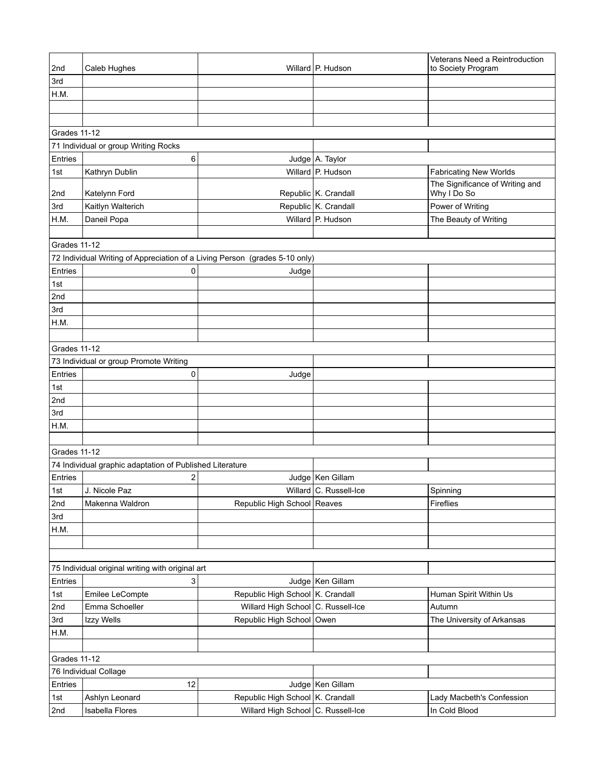| 2nd          | Caleb Hughes                                                                |                                    | Willard P. Hudson      | Veterans Need a Reintroduction<br>to Society Program |  |  |
|--------------|-----------------------------------------------------------------------------|------------------------------------|------------------------|------------------------------------------------------|--|--|
| 3rd          |                                                                             |                                    |                        |                                                      |  |  |
| H.M.         |                                                                             |                                    |                        |                                                      |  |  |
|              |                                                                             |                                    |                        |                                                      |  |  |
|              |                                                                             |                                    |                        |                                                      |  |  |
| Grades 11-12 |                                                                             |                                    |                        |                                                      |  |  |
|              | 71 Individual or group Writing Rocks                                        |                                    |                        |                                                      |  |  |
| Entries      | 6                                                                           |                                    | Judge A. Taylor        |                                                      |  |  |
| 1st          | Kathryn Dublin                                                              |                                    | Willard P. Hudson      | <b>Fabricating New Worlds</b>                        |  |  |
| 2nd          | Katelynn Ford                                                               |                                    | Republic K. Crandall   | The Significance of Writing and<br>Why I Do So       |  |  |
| 3rd          | Kaitlyn Walterich                                                           |                                    | Republic K. Crandall   | Power of Writing                                     |  |  |
| H.M.         | Daneil Popa                                                                 |                                    | Willard P. Hudson      | The Beauty of Writing                                |  |  |
|              |                                                                             |                                    |                        |                                                      |  |  |
| Grades 11-12 |                                                                             |                                    |                        |                                                      |  |  |
|              | 72 Individual Writing of Appreciation of a Living Person (grades 5-10 only) |                                    |                        |                                                      |  |  |
| Entries      | 0                                                                           | Judge                              |                        |                                                      |  |  |
| 1st          |                                                                             |                                    |                        |                                                      |  |  |
| 2nd          |                                                                             |                                    |                        |                                                      |  |  |
| 3rd          |                                                                             |                                    |                        |                                                      |  |  |
| H.M.         |                                                                             |                                    |                        |                                                      |  |  |
|              |                                                                             |                                    |                        |                                                      |  |  |
|              |                                                                             |                                    |                        |                                                      |  |  |
| Grades 11-12 |                                                                             |                                    |                        |                                                      |  |  |
|              | 73 Individual or group Promote Writing                                      |                                    |                        |                                                      |  |  |
| Entries      | 0                                                                           | Judge                              |                        |                                                      |  |  |
| 1st          |                                                                             |                                    |                        |                                                      |  |  |
| 2nd          |                                                                             |                                    |                        |                                                      |  |  |
| 3rd          |                                                                             |                                    |                        |                                                      |  |  |
| H.M.         |                                                                             |                                    |                        |                                                      |  |  |
|              |                                                                             |                                    |                        |                                                      |  |  |
| Grades 11-12 |                                                                             |                                    |                        |                                                      |  |  |
|              | 74 Individual graphic adaptation of Published Literature                    |                                    |                        |                                                      |  |  |
| Entries      | 2                                                                           |                                    | Judge   Ken Gillam     |                                                      |  |  |
| 1st          | J. Nicole Paz                                                               |                                    | Willard C. Russell-Ice | Spinning                                             |  |  |
| 2nd          | Makenna Waldron                                                             | Republic High School Reaves        |                        | Fireflies                                            |  |  |
| 3rd          |                                                                             |                                    |                        |                                                      |  |  |
| H.M.         |                                                                             |                                    |                        |                                                      |  |  |
|              |                                                                             |                                    |                        |                                                      |  |  |
|              |                                                                             |                                    |                        |                                                      |  |  |
|              | 75 Individual original writing with original art                            |                                    |                        |                                                      |  |  |
| Entries      | 3                                                                           |                                    | Judge   Ken Gillam     |                                                      |  |  |
| 1st          | Emilee LeCompte                                                             | Republic High School K. Crandall   |                        | Human Spirit Within Us                               |  |  |
| 2nd          | Emma Schoeller                                                              | Willard High School C. Russell-Ice |                        | Autumn                                               |  |  |
| 3rd          | Izzy Wells                                                                  | Republic High School Owen          |                        | The University of Arkansas                           |  |  |
| H.M.         |                                                                             |                                    |                        |                                                      |  |  |
|              |                                                                             |                                    |                        |                                                      |  |  |
| Grades 11-12 |                                                                             |                                    |                        |                                                      |  |  |
|              | 76 Individual Collage                                                       |                                    |                        |                                                      |  |  |
| Entries      | 12                                                                          |                                    | Judge   Ken Gillam     |                                                      |  |  |
| 1st          | Ashlyn Leonard                                                              | Republic High School K. Crandall   |                        | Lady Macbeth's Confession                            |  |  |
| 2nd          | Isabella Flores                                                             | Willard High School C. Russell-Ice |                        | In Cold Blood                                        |  |  |